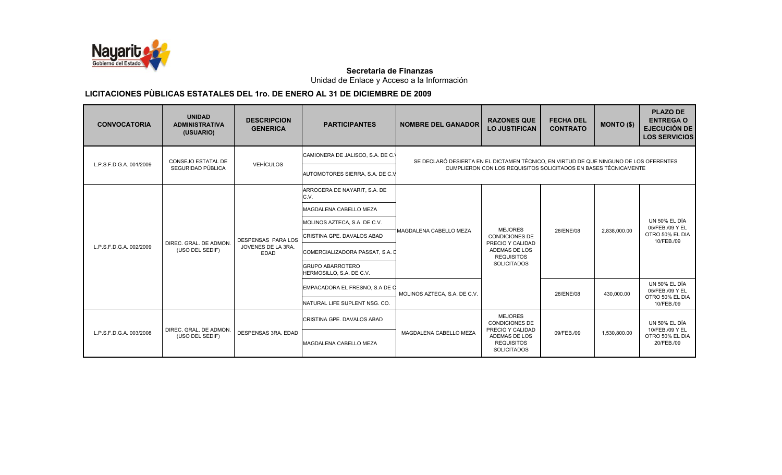

Unidad de Enlace y Acceso a la Información

| <b>CONVOCATORIA</b>     | <b>UNIDAD</b><br><b>ADMINISTRATIVA</b><br>(USUARIO) | <b>DESCRIPCION</b><br><b>GENERICA</b> | <b>PARTICIPANTES</b>                                                                                                       | <b>NOMBRE DEL GANADOR</b>      | <b>RAZONES QUE</b><br><b>LO JUSTIFICAN</b>                                   | <b>FECHA DEL</b><br><b>CONTRATO</b> | <b>MONTO (\$)</b> | <b>PLAZO DE</b><br><b>ENTREGA O</b><br><b>EJECUCIÓN DE</b><br><b>LOS SERVICIOS</b> |  |
|-------------------------|-----------------------------------------------------|---------------------------------------|----------------------------------------------------------------------------------------------------------------------------|--------------------------------|------------------------------------------------------------------------------|-------------------------------------|-------------------|------------------------------------------------------------------------------------|--|
| L.P.S.F.D.G.A. 001/2009 | <b>CONSEJO ESTATAL DE</b>                           | <b>VEHÍCULOS</b>                      | CAMIONERA DE JALISCO, S.A. DE C.'<br>SE DECLARÓ DESIERTA EN EL DICTAMEN TÉCNICO, EN VIRTUD DE QUE NINGUNO DE LOS OFERENTES |                                |                                                                              |                                     |                   |                                                                                    |  |
|                         | SEGURIDAD PÚBLICA                                   |                                       | AUTOMOTORES SIERRA, S.A. DE C.V                                                                                            |                                | CUMPLIERON CON LOS REQUISITOS SOLICITADOS EN BASES TÉCNICAMENTE              |                                     |                   |                                                                                    |  |
|                         |                                                     |                                       | ARROCERA DE NAYARIT, S.A. DE<br>C.V.                                                                                       |                                |                                                                              |                                     |                   |                                                                                    |  |
|                         |                                                     |                                       | MAGDALENA CABELLO MEZA                                                                                                     |                                |                                                                              |                                     |                   |                                                                                    |  |
|                         |                                                     |                                       | MOLINOS AZTECA, S.A. DE C.V.                                                                                               |                                | <b>MEJORES</b>                                                               |                                     |                   | UN 50% EL DÍA<br>05/FEB./09 Y EL                                                   |  |
|                         |                                                     | <b>DESPENSAS PARA LOS</b>             | CRISTINA GPE. DAVALOS ABAD                                                                                                 | <b>IMAGDALENA CABELLO MEZA</b> | <b>CONDICIONES DE</b>                                                        | 28/ENE/08                           | 2,838,000.00      | OTRO 50% EL DIA<br>10/FEB./09                                                      |  |
| L.P.S.F.D.G.A. 002/2009 | DIREC. GRAL. DE ADMON.<br>(USO DEL SEDIF)           | JOVENES DE LA 3RA.<br><b>EDAD</b>     | COMERCIALIZADORA PASSAT. S.A. D                                                                                            |                                | PRECIO Y CALIDAD<br>ADEMAS DE LOS<br><b>REQUISITOS</b>                       |                                     |                   |                                                                                    |  |
|                         |                                                     |                                       | <b>GRUPO ABARROTERO</b><br>HERMOSILLO, S.A. DE C.V.                                                                        |                                | <b>SOLICITADOS</b>                                                           |                                     |                   |                                                                                    |  |
|                         |                                                     |                                       | EMPACADORA EL FRESNO, S.A DE O                                                                                             | MOLINOS AZTECA, S.A. DE C.V.   |                                                                              | 28/ENE/08                           | 430,000.00        | <b>UN 50% EL DÍA</b><br>05/FEB./09 Y EL<br>OTRO 50% EL DIA                         |  |
|                         |                                                     |                                       | NATURAL LIFE SUPLENT NSG. CO.                                                                                              |                                |                                                                              |                                     |                   | 10/FEB./09                                                                         |  |
| L.P.S.F.D.G.A. 003/2008 |                                                     |                                       | CRISTINA GPE, DAVALOS ABAD                                                                                                 |                                | <b>MEJORES</b><br><b>CONDICIONES DE</b>                                      |                                     |                   | UN 50% EL DÍA                                                                      |  |
|                         | DIREC. GRAL. DE ADMON.<br>(USO DEL SEDIF)           | DESPENSAS 3RA. EDAD                   | MAGDALENA CABELLO MEZA                                                                                                     | MAGDALENA CABELLO MEZA         | PRECIO Y CALIDAD<br>ADEMAS DE LOS<br><b>REQUISITOS</b><br><b>SOLICITADOS</b> | 09/FEB./09                          | 1,530,800.00      | 10/FEB./09 Y EL<br>OTRO 50% EL DIA<br>20/FEB./09                                   |  |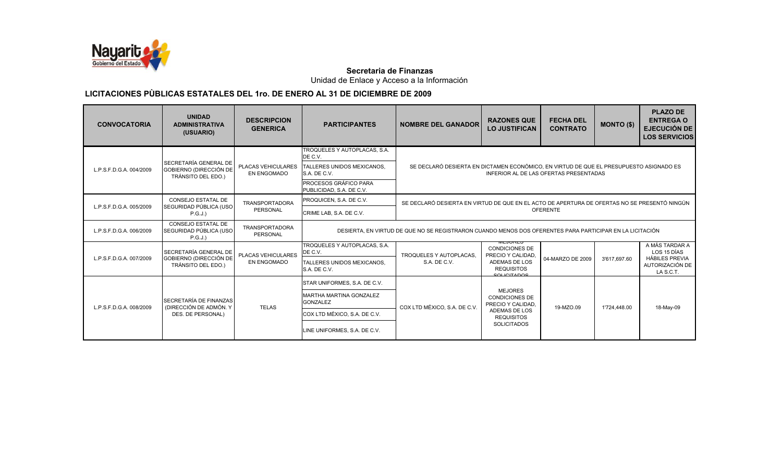

Unidad de Enlace y Acceso a la Información

| <b>CONVOCATORIA</b>     | <b>UNIDAD</b><br><b>ADMINISTRATIVA</b><br>(USUARIO)     | <b>DESCRIPCION</b><br><b>GENERICA</b>    | <b>PARTICIPANTES</b>                              | <b>NOMBRE DEL GANADOR</b>                                                                                | <b>RAZONES QUE</b><br><b>LO JUSTIFICAN</b>                                                   | <b>FECHA DEL</b><br><b>CONTRATO</b> | <b>MONTO (\$)</b>            | <b>PLAZO DE</b><br><b>ENTREGA O</b><br><b>EJECUCIÓN DE</b><br><b>LOS SERVICIOS</b> |  |
|-------------------------|---------------------------------------------------------|------------------------------------------|---------------------------------------------------|----------------------------------------------------------------------------------------------------------|----------------------------------------------------------------------------------------------|-------------------------------------|------------------------------|------------------------------------------------------------------------------------|--|
|                         | SECRETARÍA GENERAL DE                                   |                                          | TROQUELES Y AUTOPLACAS, S.A.<br>DE C.V.           |                                                                                                          |                                                                                              |                                     |                              |                                                                                    |  |
| L.P.S.F.D.G.A. 004/2009 | GOBIERNO (DIRECCIÓN DE<br>TRÁNSITO DEL EDO.)            | PLACAS VEHICULARES<br><b>EN ENGOMADO</b> | TALLERES UNIDOS MEXICANOS.<br>S.A. DE C.V.        | SE DECLARÓ DESIERTA EN DICTAMEN ECONÓMICO, EN VIRTUD DE QUE EL PRESUPUESTO ASIGNADO ES                   | INFERIOR AL DE LAS OFERTAS PRESENTADAS                                                       |                                     |                              |                                                                                    |  |
|                         |                                                         |                                          | PROCESOS GRÁFICO PARA<br>PUBLICIDAD, S.A. DE C.V. |                                                                                                          |                                                                                              |                                     |                              |                                                                                    |  |
|                         | CONSEJO ESTATAL DE<br>SEGURIDAD PÚBLICA (USO            | <b>TRANSPORTADORA</b>                    | PROQUICEN, S.A. DE C.V.                           |                                                                                                          | SE DECLARÓ DESIERTA EN VIRTUD DE QUE EN EL ACTO DE APERTURA DE OFERTAS NO SE PRESENTÓ NINGÚN |                                     |                              |                                                                                    |  |
| L.P.S.F.D.G.A. 005/2009 | P.G.J.)                                                 | PERSONAL                                 | CRIME LAB, S.A. DE C.V.                           | <b>OFERENTE</b>                                                                                          |                                                                                              |                                     |                              |                                                                                    |  |
| L.P.S.F.D.G.A. 006/2009 | CONSEJO ESTATAL DE<br>SEGURIDAD PÚBLICA (USO<br>P.G.J.) | <b>TRANSPORTADORA</b><br>PERSONAL        |                                                   | DESIERTA. EN VIRTUD DE QUE NO SE REGISTRARON CUANDO MENOS DOS OFERENTES PARA PARTICIPAR EN LA LICITACIÓN |                                                                                              |                                     |                              |                                                                                    |  |
|                         | SECRETARÍA GENERAL DE                                   | PLACAS VEHICULARES                       | TROQUELES Y AUTOPLACAS, S.A.<br>DE C.V.           | TROQUELES Y AUTOPLACAS.                                                                                  | MLJUNLJ<br><b>CONDICIONES DE</b><br>PRECIO Y CALIDAD.                                        |                                     |                              | A MÁS TARDAR A<br>LOS 15 DÍAS                                                      |  |
| L.P.S.F.D.G.A. 007/2009 | GOBIERNO (DIRECCIÓN DE<br>TRÁNSITO DEL EDO.)            | <b>EN ENGOMADO</b>                       | TALLERES UNIDOS MEXICANOS,<br>S.A. DE C.V.        | S.A. DE C.V.                                                                                             | <b>ADEMAS DE LOS</b><br><b>REQUISITOS</b><br><b>COLICITADOS</b>                              | 04-MARZO DE 2009                    | 3'617,697.60<br>1'724,448.00 | <b>HÁBILES PREVIA</b><br>AUTORIZACIÓN DE<br>LA S.C.T.                              |  |
|                         |                                                         |                                          | STAR UNIFORMES, S.A. DE C.V.                      |                                                                                                          |                                                                                              |                                     |                              |                                                                                    |  |
| L.P.S.F.D.G.A. 008/2009 | SECRETARÍA DE FINANZAS<br>(DIRECCIÓN DE ADMÓN. Y        |                                          | <b>MARTHA MARTINA GONZALEZ</b><br><b>GONZALEZ</b> |                                                                                                          | <b>MEJORES</b><br><b>CONDICIONES DE</b><br>PRECIO Y CALIDAD.                                 | 19-MZO.09                           |                              | 18-May-09                                                                          |  |
|                         | DES. DE PERSONAL)                                       | <b>TELAS</b>                             | COX LTD MÉXICO, S.A. DE C.V.                      | COX LTD MÉXICO, S.A. DE C.V.                                                                             | ADEMAS DE LOS<br><b>REQUISITOS</b>                                                           |                                     |                              |                                                                                    |  |
|                         |                                                         |                                          | LINE UNIFORMES, S.A. DE C.V.                      |                                                                                                          | <b>SOLICITADOS</b>                                                                           |                                     |                              |                                                                                    |  |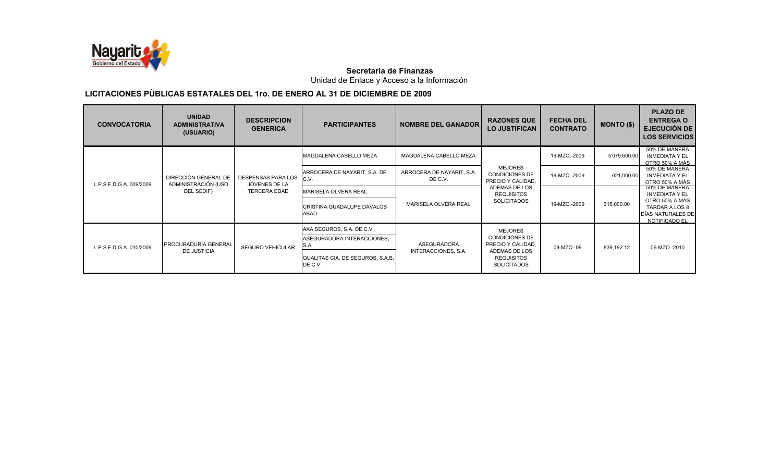

Unidad de Enlace y Acceso a la Información

| <b>CONVOCATORIA</b>     | <b>UNIDAD</b><br><b>ADMINISTRATIVA</b><br>(USUARIO) | <b>DESCRIPCION</b><br><b>GENERICA</b>      | <b>PARTICIPANTES</b>                                               | <b>NOMBRE DEL GANADOR</b>            | <b>RAZONES QUE</b><br><b>LO JUSTIFICAN</b>                   | <b>FECHA DEL</b><br><b>CONTRATO</b> | $MONTO($ \$) | <b>PLAZO DE</b><br><b>ENTREGA O</b><br>EJECUCIÓN DE<br><b>LOS SERVICIOS</b> |
|-------------------------|-----------------------------------------------------|--------------------------------------------|--------------------------------------------------------------------|--------------------------------------|--------------------------------------------------------------|-------------------------------------|--------------|-----------------------------------------------------------------------------|
| L.P.S.F.D.G.A. 009/2009 |                                                     |                                            | <b>MAGDALENA CABELLO MEZA</b>                                      | MAGDALENA CABELLO MEZA               |                                                              | 19-MZO.-2009                        | 5'079,600.00 | 50% DE MANERA<br><b>INMEDIATA Y EL</b><br>OTRO 50% A MÁS                    |
|                         | DIRECCIÓN GENERAL DE<br>ADMINISTRACIÓN (USO         | <b>DESPENSAS PARA LOS</b><br>JÓVENES DE LA | ARROCERA DE NAYARIT, S.A. DE<br>C.V.                               | ARROCERA DE NAYARIT, S.A.<br>DE C.V. | <b>MEJORES</b><br><b>CONDICIONES DE</b><br>PRECIO Y CALIDAD. | 19-MZO.-2009                        | 621,000.00   | 50% DE MANERA<br><b>INMEDIATA Y EL</b><br>OTRO 50% A MÁS                    |
|                         | DEL SEDIF)                                          | <b>TERCERA EDAD</b>                        | <b>MARISELA OLVERA REAL</b>                                        |                                      | ADEMAS DE LOS<br><b>REQUISITOS</b>                           |                                     |              | 50% DE MANERA<br><b>INMEDIATA Y EL</b>                                      |
|                         |                                                     |                                            | CRISTINA GUADALUPE DAVALOS<br>ABAD                                 | MARISELA OLVERA REAL                 | <b>SOLICITADOS</b>                                           | 19-MZO.-2009                        | 315,000.00   | OTRO 50% A MÁS<br>TARDAR A LOS 8<br>DÍAS NATURALES DE<br>NOTIFICADO EL      |
|                         |                                                     |                                            | AXA SEGUROS, S.A. DE C.V.                                          |                                      | <b>MEJORES</b>                                               |                                     |              |                                                                             |
| L.P.S.F.D.G.A. 010/2009 | PROCURADURÍA GENERAL                                | <b>SEGURO VEHICULAR</b>                    | ASEGURADORA INTERACCIONES,<br>S.A.                                 | <b>ASEGURADORA</b>                   | <b>CONDICIONES DE</b><br>PRECIO Y CALIDAD.                   | 09-MZO.-09                          | 839,192.12   | 06-MZO.-2010                                                                |
|                         | <b>DE JUSTICIA</b>                                  |                                            | INTERACCIONES, S.A.<br>QUALITAS CIA. DE SEGUROS, S.A.B.<br>DE C.V. |                                      | ADEMAS DE LOS<br><b>REQUISITOS</b><br><b>SOLICITADOS</b>     |                                     |              |                                                                             |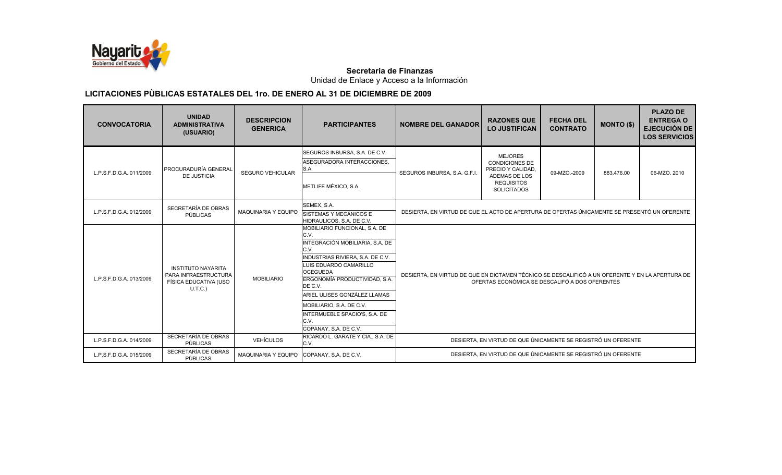

Unidad de Enlace y Acceso a la Información

| <b>CONVOCATORIA</b>     | <b>UNIDAD</b><br><b>ADMINISTRATIVA</b><br>(USUARIO)                                   | <b>DESCRIPCION</b><br><b>GENERICA</b>     | <b>PARTICIPANTES</b>                                                                                                                                                                                                                                                                                                                        | <b>NOMBRE DEL GANADOR</b>                                                                                                                         | <b>RAZONES QUE</b><br><b>LO JUSTIFICAN</b>                                                                               | <b>FECHA DEL</b><br><b>CONTRATO</b> | <b>MONTO (\$)</b> | <b>PLAZO DE</b><br><b>ENTREGA O</b><br><b>EJECUCIÓN DE</b><br><b>LOS SERVICIOS</b> |  |
|-------------------------|---------------------------------------------------------------------------------------|-------------------------------------------|---------------------------------------------------------------------------------------------------------------------------------------------------------------------------------------------------------------------------------------------------------------------------------------------------------------------------------------------|---------------------------------------------------------------------------------------------------------------------------------------------------|--------------------------------------------------------------------------------------------------------------------------|-------------------------------------|-------------------|------------------------------------------------------------------------------------|--|
| L.P.S.F.D.G.A. 011/2009 | <b>PROCURADURÍA GENERAL</b><br><b>DE JUSTICIA</b>                                     | <b>SEGURO VEHICULAR</b>                   | SEGUROS INBURSA, S.A. DE C.V.<br>ASEGURADORA INTERACCIONES,<br>S.A.<br>METLIFE MÉXICO, S.A.                                                                                                                                                                                                                                                 | SEGUROS INBURSA, S.A. G.F.I.                                                                                                                      | <b>MEJORES</b><br><b>CONDICIONES DE</b><br>PRECIO Y CALIDAD,<br>ADEMAS DE LOS<br><b>REQUISITOS</b><br><b>SOLICITADOS</b> | 09-MZO.-2009                        | 883.476.00        | 06-MZO, 2010                                                                       |  |
| L.P.S.F.D.G.A. 012/2009 | SECRETARÍA DE OBRAS<br>PÚBLICAS                                                       | <b>MAQUINARIA Y EQUIPO</b>                | SEMEX, S.A.<br>SISTEMAS Y MECÁNICOS E<br>HIDRAULICOS, S.A. DE C.V.                                                                                                                                                                                                                                                                          |                                                                                                                                                   | DESIERTA. EN VIRTUD DE QUE EL ACTO DE APERTURA DE OFERTAS ÚNICAMENTE SE PRESENTÓ UN OFERENTE                             |                                     |                   |                                                                                    |  |
| L.P.S.F.D.G.A. 013/2009 | <b>INSTITUTO NAYARITA</b><br>PARA INFRAESTRUCTURA<br>FÍSICA EDUCATIVA (USO<br>U.T.C.) | <b>MOBILIARIO</b>                         | MOBILIARIO FUNCIONAL, S.A. DE<br>C.V.<br>INTEGRACIÓN MOBILIARIA, S.A. DE<br>C.V.<br>INDUSTRIAS RIVIERA, S.A. DE C.V.<br>LUIS EDUARDO CAMARILLO<br><b>OCEGUEDA</b><br>ERGONOMÍA PRODUCTIVIDAD, S.A.<br>DE C.V.<br>ARIEL ULISES GONZÁLEZ LLAMAS<br>MOBILIARIO, S.A. DE C.V.<br>INTERMUEBLE SPACIO'S, S.A. DE<br>C.V.<br>COPANAY, S.A. DE C.V. | DESIERTA, EN VIRTUD DE QUE EN DICTAMEN TÉCNICO SE DESCALIFICÓ A UN OFERENTE Y EN LA APERTURA DE<br>OFERTAS ECONÓMICA SE DESCALIFÓ A DOS OFERENTES |                                                                                                                          |                                     |                   |                                                                                    |  |
| L.P.S.F.D.G.A. 014/2009 | SECRETARÍA DE OBRAS<br>PÚBLICAS                                                       | <b>VEHÍCULOS</b>                          | RICARDO L. GARATE Y CIA., S.A. DE<br>C.V.                                                                                                                                                                                                                                                                                                   | DESIERTA, EN VIRTUD DE QUE ÚNICAMENTE SE REGISTRÓ UN OFERENTE                                                                                     |                                                                                                                          |                                     |                   |                                                                                    |  |
| L.P.S.F.D.G.A. 015/2009 | SECRETARÍA DE OBRAS<br>PÚBLICAS                                                       | MAQUINARIA Y EQUIPO COPANAY, S.A. DE C.V. |                                                                                                                                                                                                                                                                                                                                             |                                                                                                                                                   | DESIERTA. EN VIRTUD DE QUE ÚNICAMENTE SE REGISTRÓ UN OFERENTE                                                            |                                     |                   |                                                                                    |  |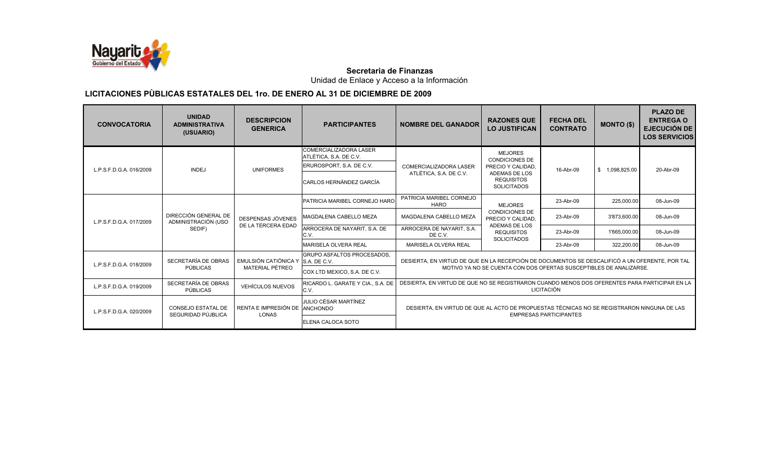

Unidad de Enlace y Acceso a la Información

| <b>CONVOCATORIA</b>     | <b>UNIDAD</b><br><b>ADMINISTRATIVA</b><br>(USUARIO) | <b>DESCRIPCION</b><br><b>GENERICA</b> | <b>PARTICIPANTES</b>                                    | <b>NOMBRE DEL GANADOR</b>                                                                                                   | <b>RAZONES QUE</b><br><b>LO JUSTIFICAN</b>                         | <b>FECHA DEL</b><br><b>CONTRATO</b> | <b>MONTO (\$)</b> | <b>PLAZO DE</b><br><b>ENTREGA O</b><br><b>EJECUCIÓN DE</b><br><b>LOS SERVICIOS</b> |
|-------------------------|-----------------------------------------------------|---------------------------------------|---------------------------------------------------------|-----------------------------------------------------------------------------------------------------------------------------|--------------------------------------------------------------------|-------------------------------------|-------------------|------------------------------------------------------------------------------------|
|                         |                                                     |                                       | <b>COMERCIALIZADORA LASER</b><br>ATLÉTICA, S.A. DE C.V. |                                                                                                                             | <b>MEJORES</b><br><b>CONDICIONES DE</b>                            |                                     |                   |                                                                                    |
| L.P.S.F.D.G.A. 016/2009 | <b>INDEJ</b>                                        | <b>UNIFORMES</b>                      | ERUROSPORT, S.A. DE C.V.                                | <b>COMERCIALIZADORA LASER</b>                                                                                               | PRECIO Y CALIDAD.                                                  | 16-Abr-09                           | \$1,098,825.00    | 20-Abr-09                                                                          |
|                         |                                                     |                                       | <b>CARLOS HERNÁNDEZ GARCÍA</b>                          | ATLÉTICA, S.A. DE C.V.                                                                                                      | ADEMAS DE LOS<br><b>REQUISITOS</b><br><b>SOLICITADOS</b>           |                                     |                   |                                                                                    |
|                         |                                                     |                                       | <b>PATRICIA MARIBEL CORNEJO HARO</b>                    | PATRICIA MARIBEL CORNEJO<br><b>HARO</b>                                                                                     | <b>MEJORES</b>                                                     | 23-Abr-09                           | 225,000.00        | 08-Jun-09                                                                          |
| L.P.S.F.D.G.A. 017/2009 | DIRECCIÓN GENERAL DE<br>ADMINISTRACIÓN (USO         | DESPENSAS JÓVENES                     | <b>IMAGDALENA CABELLO MEZA</b>                          | MAGDALENA CABELLO MEZA                                                                                                      | <b>CONDICIONES DE</b><br>PRECIO Y CALIDAD,                         | 23-Abr-09                           | 3'873,600.00      | 08-Jun-09                                                                          |
|                         | SEDIF)                                              | DE LA TERCERA EDAD                    | ARROCERA DE NAYARIT, S.A. DE<br>C.V.                    | ARROCERA DE NAYARIT, S.A.<br>DE C.V.                                                                                        | <b>ADEMAS DE LOS</b><br><b>REQUISITOS</b><br><b>SOLICITADOS</b>    | 23-Abr-09                           | 1'665,000.00      | 08-Jun-09                                                                          |
|                         |                                                     |                                       | MARISELA OLVERA REAL                                    | <b>MARISELA OLVERA REAL</b>                                                                                                 |                                                                    | 23-Abr-09                           | 322,200.00        | 08-Jun-09                                                                          |
| L.P.S.F.D.G.A. 018/2009 | SECRETARÍA DE OBRAS                                 | EMULSIÓN CATIÓNICA Y S.A. DE C.V.     | <b>GRUPO ASFALTOS PROCESADOS.</b>                       | DESIERTA. EN VIRTUD DE QUE EN LA RECEPCIÓN DE DOCUMENTOS SE DESCALIFICÓ A UN OFERENTE. POR TAL                              |                                                                    |                                     |                   |                                                                                    |
|                         | PÚBLICAS                                            | <b>MATERIAL PÉTREO</b>                | COX LTD MEXICO, S.A. DE C.V.                            |                                                                                                                             | MOTIVO YA NO SE CUENTA CON DOS OFERTAS SUSCEPTIBLES DE ANALIZARSE. |                                     |                   |                                                                                    |
| L.P.S.F.D.G.A. 019/2009 | SECRETARÍA DE OBRAS<br><b>PÚBLICAS</b>              | <b>VEHÍCULOS NUEVOS</b>               | RICARDO L. GARATE Y CIA., S.A. DE<br>C.V.               | DESIERTA, EN VIRTUD DE QUE NO SE REGISTRARON CUANDO MENOS DOS OFERENTES PARA PARTICIPAR EN LA<br><b>LICITACIÓN</b>          |                                                                    |                                     |                   |                                                                                    |
| L.P.S.F.D.G.A. 020/2009 | <b>CONSEJO ESTATAL DE</b><br>SEGURIDAD PÚJBLICA     | RENTA E IMPRESIÓN DE<br>LONAS         | JULIO CÉSAR MARTÍNEZ<br>ANCHONDO                        | DESIERTA, EN VIRTUD DE QUE AL ACTO DE PROPUESTAS TÉCNICAS NO SE REGISTRARON NINGUNA DE LAS<br><b>EMPRESAS PARTICIPANTES</b> |                                                                    |                                     |                   |                                                                                    |
|                         |                                                     |                                       | <b>ELENA CALOCA SOTO</b>                                |                                                                                                                             |                                                                    |                                     |                   |                                                                                    |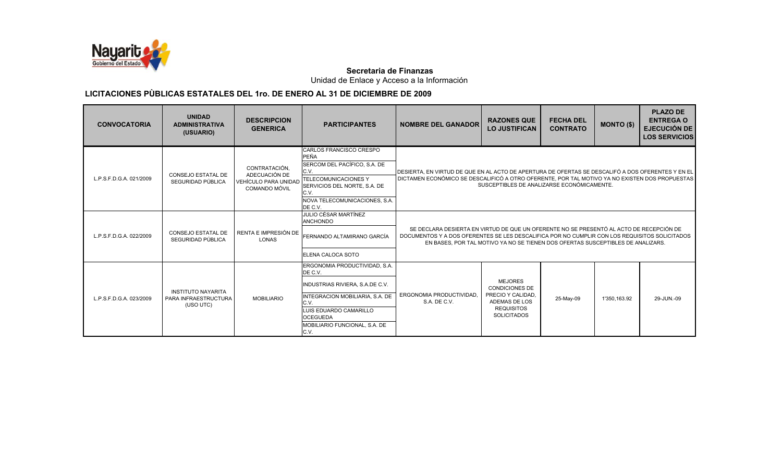

Unidad de Enlace y Acceso a la Información

| <b>CONVOCATORIA</b>     | <b>UNIDAD</b><br><b>ADMINISTRATIVA</b><br>(USUARIO)            | <b>DESCRIPCION</b><br><b>GENERICA</b>                                                 | <b>PARTICIPANTES</b>                                                                                                                                                                                         | <b>NOMBRE DEL GANADOR</b>                                                                                                                                                                                                                                                   | <b>RAZONES QUE</b><br><b>LO JUSTIFICAN</b>                                                                               | <b>FECHA DEL</b><br><b>CONTRATO</b> | <b>MONTO (\$)</b> | <b>PLAZO DE</b><br><b>ENTREGA O</b><br><b>EJECUCIÓN DE</b><br><b>LOS SERVICIOS</b> |
|-------------------------|----------------------------------------------------------------|---------------------------------------------------------------------------------------|--------------------------------------------------------------------------------------------------------------------------------------------------------------------------------------------------------------|-----------------------------------------------------------------------------------------------------------------------------------------------------------------------------------------------------------------------------------------------------------------------------|--------------------------------------------------------------------------------------------------------------------------|-------------------------------------|-------------------|------------------------------------------------------------------------------------|
| L.P.S.F.D.G.A. 021/2009 | <b>CONSEJO ESTATAL DE</b><br>SEGURIDAD PÚBLICA                 | CONTRATACIÓN.<br>ADECUACIÓN DE<br><b>VEHÍCULO PARA UNIDAD</b><br><b>COMANDO MÓVIL</b> | CARLOS FRANCISCO CRESPO<br>PEÑA<br>SERCOM DEL PACÍFICO, S.A. DE<br>C.V.<br><b>TELECOMUNICACIONES Y</b><br>SERVICIOS DEL NORTE, S.A. DE<br>C.V.<br>NOVA TELECOMUNICACIONES, S.A.<br>DE C.V.                   | IDESIERTA. EN VIRTUD DE QUE EN AL ACTO DE APERTURA DE OFERTAS SE DESCALIFÓ A DOS OFERENTES Y EN EL<br>DICTAMEN ECONÓMICO SE DESCALIFICÓ A OTRO OFERENTE, POR TAL MOTIVO YA NO EXISTEN DOS PROPUESTAS                                                                        | SUSCEPTIBLES DE ANALIZARSE ECONÓMICAMENTE.                                                                               |                                     |                   |                                                                                    |
| L.P.S.F.D.G.A. 022/2009 | <b>CONSEJO ESTATAL DE</b><br>SEGURIDAD PÚBLICA                 | RENTA E IMPRESIÓN DE<br><b>LONAS</b>                                                  | JULIO CÉSAR MARTÍNEZ<br><b>ANCHONDO</b><br>FERNANDO ALTAMIRANO GARCÍA<br>ELENA CALOCA SOTO                                                                                                                   | SE DECLARA DESIERTA EN VIRTUD DE QUE UN OFERENTE NO SE PRESENTÓ AL ACTO DE RECEPCIÓN DE<br>DOCUMENTOS Y A DOS OFERENTES SE LES DESCALIFICA POR NO CUMPLIR CON LOS REQUISITOS SOLICITADOS<br>EN BASES, POR TAL MOTIVO YA NO SE TIENEN DOS OFERTAS SUSCEPTIBLES DE ANALIZARS. |                                                                                                                          |                                     |                   |                                                                                    |
| L.P.S.F.D.G.A. 023/2009 | <b>INSTITUTO NAYARITA</b><br>PARA INFRAESTRUCTURA<br>(USO UTC) | <b>MOBILIARIO</b>                                                                     | ERGONOMIA PRODUCTIVIDAD, S.A.<br>DE C.V.<br>INDUSTRIAS RIVIERA, S.A.DE C.V.<br>INTEGRACION MOBILIARIA, S.A. DE<br>C.V.<br>LUIS EDUARDO CAMARILLO<br><b>OCEGUEDA</b><br>MOBILIARIO FUNCIONAL, S.A. DE<br>C.V. | ERGONOMIA PRODUCTIVIDAD.<br>S.A. DE C.V.                                                                                                                                                                                                                                    | <b>MEJORES</b><br><b>CONDICIONES DE</b><br>PRECIO Y CALIDAD.<br>ADEMAS DE LOS<br><b>REQUISITOS</b><br><b>SOLICITADOS</b> | 25-May-09                           | 1'350,163.92      | 29-JUN.-09                                                                         |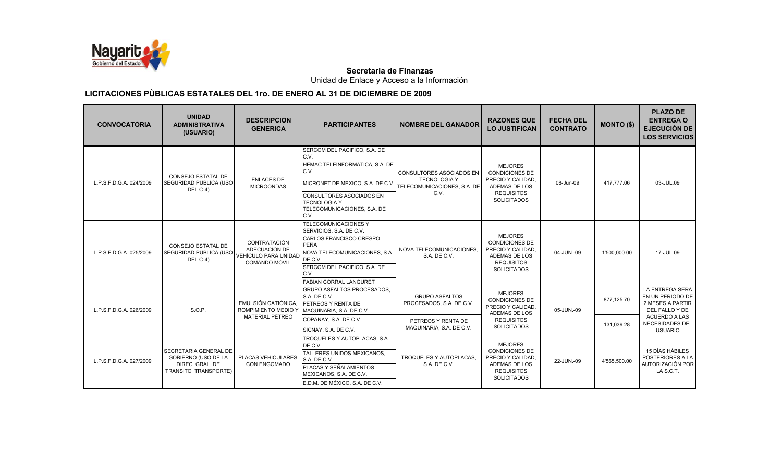

Unidad de Enlace y Acceso a la Información

| <b>CONVOCATORIA</b>     | <b>UNIDAD</b><br><b>ADMINISTRATIVA</b><br>(USUARIO)                                            | <b>DESCRIPCION</b><br><b>GENERICA</b>                                         | <b>PARTICIPANTES</b>                                                                                                                                                                                           | <b>NOMBRE DEL GANADOR</b>                                                                     | <b>RAZONES QUE</b><br><b>LO JUSTIFICAN</b>                                                                               | <b>FECHA DEL</b><br><b>CONTRATO</b> | <b>MONTO (\$)</b>        | <b>PLAZO DE</b><br><b>ENTREGA O</b><br><b>EJECUCIÓN DE</b><br><b>LOS SERVICIOS</b>                                   |
|-------------------------|------------------------------------------------------------------------------------------------|-------------------------------------------------------------------------------|----------------------------------------------------------------------------------------------------------------------------------------------------------------------------------------------------------------|-----------------------------------------------------------------------------------------------|--------------------------------------------------------------------------------------------------------------------------|-------------------------------------|--------------------------|----------------------------------------------------------------------------------------------------------------------|
| L.P.S.F.D.G.A. 024/2009 | CONSEJO ESTATAL DE<br><b>SEGURIDAD PUBLICA (USO)</b><br>DEL C-4)                               | <b>ENLACES DE</b><br><b>MICROONDAS</b>                                        | SERCOM DEL PACIFICO, S.A. DE<br>C.V.<br>HEMAC TELEINFORMATICA, S.A. DE<br>C.V.<br>MICRONET DE MEXICO, S.A. DE C.V.<br>CONSULTORES ASOCIADOS EN<br><b>TECNOLOGIA Y</b><br>TELECOMUNICACIONES, S.A. DE<br>C.V.   | <b>CONSULTORES ASOCIADOS EN</b><br><b>TECNOLOGIA Y</b><br>TELECOMUNICACIONES, S.A. DE<br>C.V. | <b>MEJORES</b><br><b>CONDICIONES DE</b><br>PRECIO Y CALIDAD.<br>ADEMAS DE LOS<br><b>REQUISITOS</b><br><b>SOLICITADOS</b> | 08-Jun-09                           | 417.777.06               | 03-JUL.09                                                                                                            |
| L.P.S.F.D.G.A. 025/2009 | CONSEJO ESTATAL DE<br>SEGURIDAD PUBLICA (USO<br>DEL C-4)                                       | CONTRATACIÓN<br>ADECUACIÓN DE<br>VEHÍCULO PARA UNIDAD<br><b>COMANDO MÓVIL</b> | TELECOMUNICACIONES Y<br>SERVICIOS, S.A. DE C.V.<br>CARLOS FRANCISCO CRESPO<br><b>PEÑA</b><br>NOVA TELECOMUNICACIONES, S.A.<br>DE C.V.<br>SERCOM DEL PACIFICO, S.A. DE<br>C.V.<br><b>FABIAN CORRAL LANGURET</b> | NOVA TELECOMUNICACIONES.<br>S.A. DE C.V.                                                      | <b>MEJORES</b><br><b>CONDICIONES DE</b><br>PRECIO Y CALIDAD,<br>ADEMAS DE LOS<br><b>REQUISITOS</b><br><b>SOLICITADOS</b> | 04-JUN.-09                          | 1'500,000.00             | 17-JUL.09                                                                                                            |
| L.P.S.F.D.G.A. 026/2009 | S.O.P.                                                                                         | EMULSIÓN CATIÓNICA.<br>ROMPIMIENTO MEDIO Y<br>MATERIAL PÉTREO                 | <b>GRUPO ASFALTOS PROCESADOS.</b><br>S.A. DE C.V.<br>PETREOS Y RENTA DE<br>MAQUINARIA, S.A. DE C.V.<br>COPANAY, S.A. DE C.V.                                                                                   | <b>GRUPO ASFALTOS</b><br>PROCESADOS, S.A. DE C.V.<br>PETREOS Y RENTA DE                       | <b>MEJORES</b><br><b>CONDICIONES DE</b><br>PRECIO Y CALIDAD.<br>ADEMAS DE LOS<br><b>REQUISITOS</b><br><b>SOLICITADOS</b> | 05-JUN.-09                          | 877,125.70<br>131,039.28 | LA ENTREGA SERÁ<br>EN UN PERIODO DE<br>2 MESES A PARTIR<br>DEL FALLO Y DE<br><b>ACUERDO A LAS</b><br>NECESIDADES DEL |
| L.P.S.F.D.G.A. 027/2009 | <b>SECRETARIA GENERAL DE</b><br>GOBIERNO (USO DE LA<br>DIREC. GRAL. DE<br>TRANSITO TRANSPORTE) | PLACAS VEHICULARES<br><b>CON ENGOMADO</b>                                     | SICNAY, S.A. DE C.V.<br>TROQUELES Y AUTOPLACAS, S.A.<br>DE C.V.<br>TALLERES UNIDOS MEXICANOS,<br>S.A. DE C.V.<br>PLACAS Y SEÑALAMIENTOS<br>MEXICANOS, S.A. DE C.V.<br>E.D.M. DE MÉXICO, S.A. DE C.V.           | MAQUINARIA, S.A. DE C.V.<br>TROQUELES Y AUTOPLACAS,<br>S.A. DE C.V.                           | <b>MEJORES</b><br><b>CONDICIONES DE</b><br>PRECIO Y CALIDAD,<br>ADEMAS DE LOS<br><b>REQUISITOS</b><br><b>SOLICITADOS</b> | 22-JUN.-09                          | 4'565,500.00             | <b>USUARIO</b><br>15 DÍAS HÁBILES<br>POSTERIORES A LA<br>AUTORIZACIÓN POR<br>LA S.C.T.                               |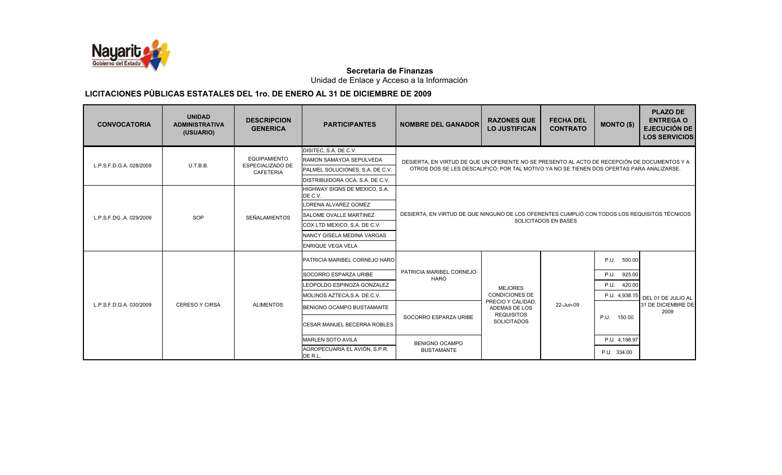

Unidad de Enlace y Acceso a la Información

| <b>CONVOCATORIA</b>     | <b>UNIDAD</b><br><b>ADMINISTRATIVA</b><br>(USUARIO) | <b>DESCRIPCION</b><br><b>GENERICA</b>    | <b>PARTICIPANTES</b>                     | <b>NOMBRE DEL GANADOR</b>                                                                     | <b>RAZONES QUE</b><br><b>LO JUSTIFICAN</b>                                                   | <b>FECHA DEL</b><br><b>CONTRATO</b> | <b>MONTO (\$)</b> | <b>PLAZO DE</b><br><b>ENTREGA O</b><br><b>EJECUCIÓN DE</b><br><b>LOS SERVICIOS</b> |  |
|-------------------------|-----------------------------------------------------|------------------------------------------|------------------------------------------|-----------------------------------------------------------------------------------------------|----------------------------------------------------------------------------------------------|-------------------------------------|-------------------|------------------------------------------------------------------------------------|--|
|                         |                                                     |                                          | DISITEC, S.A. DE C.V.                    |                                                                                               |                                                                                              |                                     |                   |                                                                                    |  |
|                         |                                                     | <b>EQUIPAMIENTO</b>                      | RAMON SAMAYOA SEPÚLVEDA                  |                                                                                               | DESIERTA, EN VIRTUD DE QUE UN OFERENTE NO SE PRESENTO AL ACTO DE RECEPCIÓN DE DOCUMENTOS Y A |                                     |                   |                                                                                    |  |
| L.P.S.F.D.G.A. 028/2009 | U.T.B.B.                                            | <b>ESPECIALIZADO DE</b><br>CAFETERIA     | PALMEL SOLUCIONES, S.A. DE C.V.          | OTROS DOS SE LES DESCALIFICÓ; POR TAL MOTIVO YA NO SE TIENEN DOS OFERTAS PARA ANALIZARSE.     |                                                                                              |                                     |                   |                                                                                    |  |
|                         |                                                     |                                          | DISTRIBUIDORA OCA, S.A. DE C.V.          |                                                                                               |                                                                                              |                                     |                   |                                                                                    |  |
|                         |                                                     |                                          | HIGHWAY SIGNS DE MEXICO, S.A.<br>DE C.V. |                                                                                               |                                                                                              |                                     |                   |                                                                                    |  |
| L.P.S.F.DG.,A. 029/2009 |                                                     |                                          | LORENA ALVAREZ GOMEZ                     |                                                                                               |                                                                                              |                                     |                   |                                                                                    |  |
|                         | SOP                                                 | <b>SEÑALAMIENTOS</b>                     | <b>SALOME OVALLE MARTINEZ</b>            | DESIERTA, EN VIRTUD DE QUE NINGUNO DE LOS OFERENTES CUMPLIÓ CON TODOS LOS REQUISITOS TÉCNICOS |                                                                                              |                                     |                   |                                                                                    |  |
|                         |                                                     |                                          | COX LTD MEXICO, S.A. DE C.V.             |                                                                                               |                                                                                              | SOLICITADOS EN BASES                |                   |                                                                                    |  |
|                         |                                                     |                                          | <b>INANCY GISELA MEDINA VARGAS</b>       |                                                                                               |                                                                                              |                                     |                   |                                                                                    |  |
|                         |                                                     |                                          | <b>ENRIQUE VEGA VELA</b>                 |                                                                                               |                                                                                              |                                     |                   |                                                                                    |  |
|                         |                                                     |                                          | <b>PATRICIA MARIBEL CORNEJO HARO</b>     |                                                                                               |                                                                                              |                                     | P.U.<br>500.00    |                                                                                    |  |
|                         |                                                     |                                          | SOCORRO ESPARZA URIBE                    | PATRICIA MARIBEL CORNEJO                                                                      |                                                                                              |                                     | P.U.<br>925.00    |                                                                                    |  |
|                         |                                                     |                                          | LEOPOLDO ESPINOZA GONZALEZ               | <b>HARO</b>                                                                                   | <b>MEJORES</b>                                                                               |                                     | P.U.<br>420.00    |                                                                                    |  |
|                         |                                                     |                                          | MOLINOS AZTECA, S.A. DE.C.V.             |                                                                                               | <b>CONDICIONES DE</b>                                                                        |                                     | P.U. 4,938.15     | DEL 01 DE JULIO AL                                                                 |  |
| L.P.S.F.D.G.A. 030/2009 | <b>CERESO Y CIRSA</b>                               | <b>ALIMENTOS</b>                         | BENIGNO OCAMPO BUSTAMANTE                |                                                                                               | PRECIO Y CALIDAD,<br>ADEMAS DE LOS                                                           | 22-Jun-09                           |                   | 31 DE DICIEMBRE DE<br>2009                                                         |  |
|                         |                                                     |                                          | <b>CESAR MANUEL BECERRA ROBLES</b>       | SOCORRO ESPARZA URIBE                                                                         | <b>REQUISITOS</b><br><b>SOLICITADOS</b>                                                      |                                     | P.U.<br>150.00    |                                                                                    |  |
|                         |                                                     |                                          | <b>MARLEN SOTO AVILA</b>                 | <b>BENIGNO OCAMPO</b>                                                                         |                                                                                              | P.U. 4,198.97                       |                   |                                                                                    |  |
|                         |                                                     | AGROPECUARIA EL AVIÓN, S.P.R.<br>DE R.L. | <b>BUSTAMANTE</b>                        |                                                                                               |                                                                                              | P.U. 334.00                         |                   |                                                                                    |  |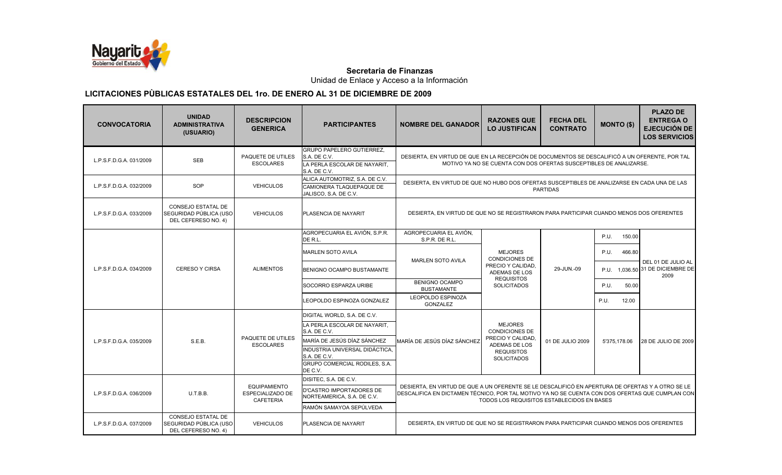

Unidad de Enlace y Acceso a la Información

| <b>CONVOCATORIA</b>     | <b>UNIDAD</b><br><b>ADMINISTRATIVA</b><br>(USUARIO)                        | <b>DESCRIPCION</b><br><b>GENERICA</b>                              | <b>PARTICIPANTES</b>                                                                             | <b>NOMBRE DEL GANADOR</b>                                                                                                                                                                                                                         | <b>RAZONES QUE</b><br><b>LO JUSTIFICAN</b>                         | <b>FECHA DEL</b><br><b>CONTRATO</b> | <b>MONTO (\$)</b> | <b>PLAZO DE</b><br><b>ENTREGA O</b><br><b>EJECUCIÓN DE</b><br><b>LOS SERVICIOS</b> |
|-------------------------|----------------------------------------------------------------------------|--------------------------------------------------------------------|--------------------------------------------------------------------------------------------------|---------------------------------------------------------------------------------------------------------------------------------------------------------------------------------------------------------------------------------------------------|--------------------------------------------------------------------|-------------------------------------|-------------------|------------------------------------------------------------------------------------|
| L.P.S.F.D.G.A. 031/2009 | <b>SEB</b>                                                                 | PAQUETE DE UTILES<br><b>ESCOLARES</b>                              | <b>GRUPO PAPELERO GUTIERREZ,</b><br>S.A. DE C.V.<br>LA PERLA ESCOLAR DE NAYARIT,<br>S.A. DE C.V. | DESIERTA. EN VIRTUD DE QUE EN LA RECEPCIÓN DE DOCUMENTOS SE DESCALIFICÓ A UN OFERENTE. POR TAL                                                                                                                                                    | MOTIVO YA NO SE CUENTA CON DOS OFERTAS SUSCEPTIBLES DE ANALIZARSE. |                                     |                   |                                                                                    |
| L.P.S.F.D.G.A. 032/2009 | SOP                                                                        | <b>VEHICULOS</b>                                                   | ALICA AUTOMOTRIZ, S.A. DE C.V.<br>CAMIONERA TLAQUEPAQUE DE<br>JALISCO, S.A. DE C.V.              | DESIERTA, EN VIRTUD DE QUE NO HUBO DOS OFERTAS SUSCEPTIBLES DE ANALIZARSE EN CADA UNA DE LAS<br><b>PARTIDAS</b>                                                                                                                                   |                                                                    |                                     |                   |                                                                                    |
| L.P.S.F.D.G.A. 033/2009 | CONSEJO ESTATAL DE<br>SEGURIDAD PÚBLICA (USO<br>DEL CEFERESO NO. 4)        | <b>VEHICULOS</b>                                                   | PLASENCIA DE NAYARIT                                                                             | DESIERTA, EN VIRTUD DE QUE NO SE REGISTRARON PARA PARTICIPAR CUANDO MENOS DOS OFERENTES                                                                                                                                                           |                                                                    |                                     |                   |                                                                                    |
|                         |                                                                            |                                                                    | AGROPECUARIA EL AVIÓN. S.P.R.<br>DE R.L.                                                         | AGROPECUARIA EL AVIÓN.<br>S.P.R. DE R.L.                                                                                                                                                                                                          |                                                                    |                                     | 150.00<br>P.U.    |                                                                                    |
| L.P.S.F.D.G.A. 034/2009 |                                                                            |                                                                    | <b>MARLEN SOTO AVILA</b>                                                                         |                                                                                                                                                                                                                                                   | <b>MEJORES</b><br><b>CONDICIONES DE</b>                            |                                     | 466.80<br>P.U.    |                                                                                    |
|                         | <b>CERESO Y CIRSA</b>                                                      | <b>ALIMENTOS</b>                                                   | BENIGNO OCAMPO BUSTAMANTE                                                                        | <b>MARLEN SOTO AVILA</b>                                                                                                                                                                                                                          | PRECIO Y CALIDAD,<br>ADEMAS DE LOS                                 | 29-JUN.-09                          |                   | P.U. 1,036.50 31 DE DICIEMBRE DE                                                   |
|                         |                                                                            |                                                                    | SOCORRO ESPARZA URIBE                                                                            | <b>BENIGNO OCAMPO</b><br><b>BUSTAMANTE</b>                                                                                                                                                                                                        | <b>REQUISITOS</b><br><b>SOLICITADOS</b>                            |                                     | 50.00<br>P.U.     |                                                                                    |
|                         |                                                                            |                                                                    | LEOPOLDO ESPINOZA GONZALEZ                                                                       | LEOPOLDO ESPINOZA<br>GONZALEZ                                                                                                                                                                                                                     |                                                                    |                                     | P.U.<br>12.00     |                                                                                    |
|                         |                                                                            |                                                                    | DIGITAL WORLD, S.A. DE C.V.                                                                      |                                                                                                                                                                                                                                                   |                                                                    |                                     |                   |                                                                                    |
|                         |                                                                            |                                                                    | LA PERLA ESCOLAR DE NAYARIT.<br>S.A. DE C.V.                                                     |                                                                                                                                                                                                                                                   | <b>MEJORES</b><br><b>CONDICIONES DE</b>                            |                                     |                   |                                                                                    |
| L.P.S.F.D.G.A. 035/2009 | S.E.B.                                                                     | PAQUETE DE UTILES<br><b>ESCOLARES</b>                              | MARÍA DE JESÚS DÍAZ SÁNCHEZ                                                                      | IMARÍA DE JESÚS DÍAZ SÁNCHEZ                                                                                                                                                                                                                      | PRECIO Y CALIDAD,<br><b>ADEMAS DE LOS</b>                          | 01 DE JULIO 2009                    | 5'375.178.06      | 28 DE JULIO DE 2009                                                                |
|                         |                                                                            |                                                                    | INDUSTRIA UNIVERSAL DIDÁCTICA.<br>S.A. DE C.V.                                                   |                                                                                                                                                                                                                                                   | <b>REQUISITOS</b><br><b>SOLICITADOS</b>                            |                                     |                   | DEL 01 DE JULIO AL<br>2009                                                         |
|                         |                                                                            |                                                                    | GRUPO COMERCIAL RODILES, S.A.<br>DE C.V.                                                         |                                                                                                                                                                                                                                                   |                                                                    |                                     |                   |                                                                                    |
|                         |                                                                            |                                                                    | DISITEC, S.A. DE C.V.                                                                            |                                                                                                                                                                                                                                                   |                                                                    |                                     |                   |                                                                                    |
| L.P.S.F.D.G.A. 036/2009 | U.T.B.B.                                                                   | <b>EQUIPAMIENTO</b><br><b>ESPECIALIZADO DE</b><br><b>CAFETERIA</b> | D'CASTRO IMPORTADORES DE<br>NORTEAMERICA, S.A. DE C.V.                                           | DESIERTA, EN VIRTUD DE QUE A UN OFERENTE SE LE DESCALIFICÓ EN APERTURA DE OFERTAS Y A OTRO SE LE<br>DESCALIFICA EN DICTAMEN TÉCNICO, POR TAL MOTIVO YA NO SE CUENTA CON DOS OFERTAS QUE CUMPLAN CON<br>TODOS LOS REQUISITOS ESTABLECIDOS EN BASES |                                                                    |                                     |                   |                                                                                    |
|                         |                                                                            |                                                                    | RAMÓN SAMAYOA SEPÚLVEDA                                                                          |                                                                                                                                                                                                                                                   |                                                                    |                                     |                   |                                                                                    |
| L.P.S.F.D.G.A. 037/2009 | <b>CONSEJO ESTATAL DE</b><br>SEGURIDAD PÚBLICA (USO<br>DEL CEFERESO NO. 4) | <b>VEHICULOS</b>                                                   | PLASENCIA DE NAYARIT                                                                             | DESIERTA. EN VIRTUD DE QUE NO SE REGISTRARON PARA PARTICIPAR CUANDO MENOS DOS OFERENTES                                                                                                                                                           |                                                                    |                                     |                   |                                                                                    |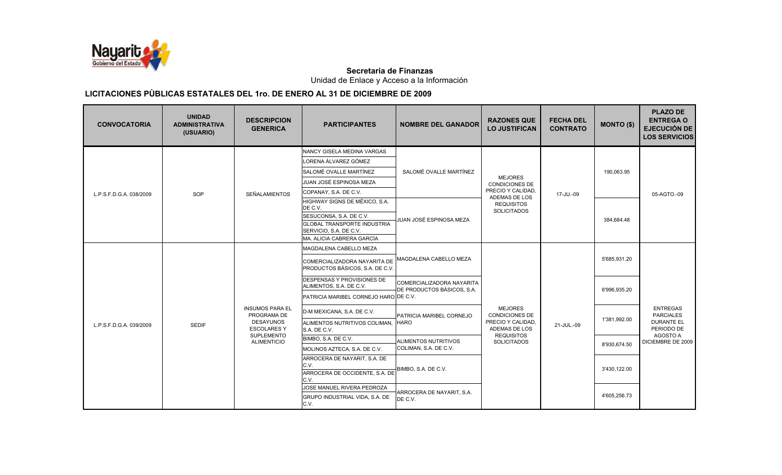

Unidad de Enlace y Acceso a la Información

| <b>CONVOCATORIA</b>     | <b>UNIDAD</b><br><b>ADMINISTRATIVA</b><br>(USUARIO) | <b>DESCRIPCION</b><br><b>GENERICA</b>  | <b>PARTICIPANTES</b>                                            | <b>NOMBRE DEL GANADOR</b>                               | <b>RAZONES QUE</b><br><b>LO JUSTIFICAN</b> | <b>FECHA DEL</b><br><b>CONTRATO</b> | <b>MONTO (\$)</b> | <b>PLAZO DE</b><br><b>ENTREGA O</b><br><b>EJECUCIÓN DE</b><br><b>LOS SERVICIOS</b> |
|-------------------------|-----------------------------------------------------|----------------------------------------|-----------------------------------------------------------------|---------------------------------------------------------|--------------------------------------------|-------------------------------------|-------------------|------------------------------------------------------------------------------------|
|                         |                                                     |                                        | NANCY GISELA MEDINA VARGAS                                      |                                                         |                                            |                                     |                   |                                                                                    |
|                         |                                                     |                                        | LORENA ÁLVAREZ GÓMEZ                                            |                                                         |                                            |                                     |                   |                                                                                    |
|                         |                                                     | SALOMÉ OVALLE MARTÍNEZ                 | SALOMÉ OVALLE MARTÍNEZ                                          | <b>MEJORES</b>                                          |                                            | 190,063.95                          |                   |                                                                                    |
|                         |                                                     |                                        | JUAN JOSÉ ESPINOSA MEZA                                         |                                                         | <b>CONDICIONES DE</b>                      |                                     |                   |                                                                                    |
| L.P.S.F.D.G.A. 038/2009 | SOP                                                 | <b>SEÑALAMIENTOS</b>                   | COPANAY, S.A. DE C.V.                                           |                                                         | PRECIO Y CALIDAD,<br>ADEMAS DE LOS         | 17-JU.-09                           |                   | 05-AGTO.-09                                                                        |
|                         |                                                     |                                        | HIGHWAY SIGNS DE MÉXICO, S.A.<br>DE C.V.                        |                                                         | <b>REQUISITOS</b>                          |                                     |                   |                                                                                    |
|                         |                                                     |                                        | SESUCONSA, S.A. DE C.V.                                         |                                                         | <b>SOLICITADOS</b>                         |                                     | 384,684.48        |                                                                                    |
|                         |                                                     |                                        | <b>GLOBAL TRANSPORTE INDUSTRIA</b><br>SERVICIO, S.A. DE C.V.    | JUAN JOSÉ ESPINOSA MEZA                                 |                                            |                                     |                   |                                                                                    |
|                         |                                                     |                                        | MA. ALICIA CABRERA GARCÍA                                       |                                                         |                                            |                                     |                   |                                                                                    |
|                         |                                                     |                                        | MAGDALENA CABELLO MEZA                                          |                                                         |                                            |                                     |                   |                                                                                    |
|                         |                                                     |                                        | COMERCIALIZADORA NAYARITA DE<br>PRODUCTOS BÁSICOS, S.A. DE C.V. | MAGDALENA CABELLO MEZA                                  |                                            |                                     | 5'685,931.20      |                                                                                    |
|                         |                                                     |                                        | DESPENSAS Y PROVISIONES DE<br>ALIMENTOS, S.A. DE C.V.           | COMERCIALIZADORA NAYARITA<br>DE PRODUCTOS BÁSICOS, S.A. |                                            |                                     | 6'996.935.20      |                                                                                    |
|                         |                                                     |                                        | PATRICIA MARIBEL CORNEJO HARO DE C.V.                           |                                                         |                                            |                                     |                   |                                                                                    |
|                         |                                                     | <b>INSUMOS PARA EL</b><br>PROGRAMA DE  | D-M MEXICANA, S.A. DE C.V.                                      | PATRICIA MARIBEL CORNEJO                                | <b>MEJORES</b><br><b>CONDICIONES DE</b>    |                                     |                   | <b>ENTREGAS</b><br><b>PARCIALES</b>                                                |
| L.P.S.F.D.G.A. 039/2009 | <b>SEDIF</b>                                        | <b>DESAYUNOS</b><br><b>ESCOLARES Y</b> | ALIMENTOS NUTRITIVOS COLIMAN.<br>S.A. DE C.V.                   | <b>HARO</b>                                             | PRECIO Y CALIDAD.<br>ADEMAS DE LOS         | 21-JUL.-09                          | 1'381,992.00      | <b>DURANTE EL</b><br>PERIODO DE                                                    |
|                         |                                                     | SUPLEMENTO<br><b>ALIMENTICIO</b>       | BIMBO, S.A. DE C.V.                                             | ALIMENTOS NUTRITIVOS                                    | <b>REQUISITOS</b><br><b>SOLICITADOS</b>    |                                     | 8'930.674.50      | AGOSTO A<br>DICIEMBRE DE 2009                                                      |
|                         |                                                     |                                        | MOLINOS AZTECA, S.A. DE C.V.                                    | COLIMAN, S.A. DE C.V.                                   |                                            |                                     |                   |                                                                                    |
|                         |                                                     |                                        | ARROCERA DE NAYARIT, S.A. DE                                    |                                                         |                                            |                                     |                   |                                                                                    |
|                         |                                                     | C.V.<br>C.V.<br>C.V.                   | ARROCERA DE OCCIDENTE, S.A. DE                                  | BIMBO, S.A. DE C.V.                                     |                                            |                                     | 3'430,122.00      |                                                                                    |
|                         |                                                     |                                        | JOSE MANUEL RIVERA PEDROZA                                      | ARROCERA DE NAYARIT, S.A.<br>DE C.V.                    |                                            |                                     |                   |                                                                                    |
|                         |                                                     |                                        | GRUPO INDUSTRIAL VIDA, S.A. DE                                  |                                                         |                                            |                                     | 4'605,256.73      |                                                                                    |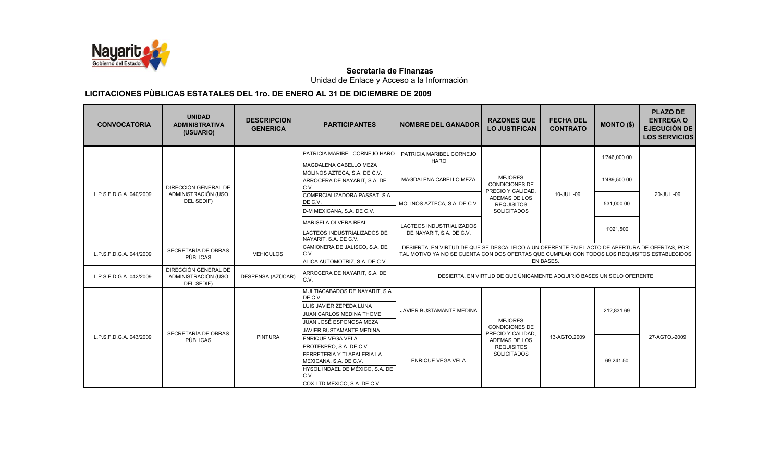

Unidad de Enlace y Acceso a la Información

| <b>CONVOCATORIA</b>                   | <b>UNIDAD</b><br><b>ADMINISTRATIVA</b><br>(USUARIO)       | <b>DESCRIPCION</b><br><b>GENERICA</b> | <b>PARTICIPANTES</b>                                                                                                                                                                   | <b>NOMBRE DEL GANADOR</b>                                                                                                                                                                      | <b>RAZONES QUE</b><br><b>LO JUSTIFICAN</b>                            | <b>FECHA DEL</b><br><b>CONTRATO</b> | <b>MONTO (\$)</b> | <b>PLAZO DE</b><br><b>ENTREGA O</b><br><b>EJECUCIÓN DE</b><br><b>LOS SERVICIOS</b> |
|---------------------------------------|-----------------------------------------------------------|---------------------------------------|----------------------------------------------------------------------------------------------------------------------------------------------------------------------------------------|------------------------------------------------------------------------------------------------------------------------------------------------------------------------------------------------|-----------------------------------------------------------------------|-------------------------------------|-------------------|------------------------------------------------------------------------------------|
|                                       |                                                           |                                       | PATRICIA MARIBEL CORNEJO HARO<br>MAGDALENA CABELLO MEZA                                                                                                                                | PATRICIA MARIBEL CORNEJO<br><b>HARO</b>                                                                                                                                                        |                                                                       |                                     | 1'746.000.00      |                                                                                    |
| L.P.S.F.D.G.A. 040/2009<br>DEL SEDIF) | DIRECCIÓN GENERAL DE                                      |                                       | MOLINOS AZTECA, S.A. DE C.V.<br>ARROCERA DE NAYARIT, S.A. DE<br>C.V.                                                                                                                   | MAGDALENA CABELLO MEZA                                                                                                                                                                         | <b>MEJORES</b><br><b>CONDICIONES DE</b><br>PRECIO Y CALIDAD,          |                                     | 1'489,500.00      |                                                                                    |
|                                       | ADMINISTRACIÓN (USO                                       |                                       | COMERCIALIZADORA PASSAT, S.A.<br>DE C.V.<br>D-M MEXICANA, S.A. DE C.V.                                                                                                                 | MOLINOS AZTECA, S.A. DE C.V.                                                                                                                                                                   | ADEMAS DE LOS<br><b>REQUISITOS</b><br><b>SOLICITADOS</b>              | 10-JUL.-09                          | 531,000.00        | 20-JUL.-09                                                                         |
|                                       |                                                           |                                       | <b>MARISELA OLVERA REAL</b><br>LACTEOS INDUSTRIALIZADOS DE<br>NAYARIT, S.A. DE C.V.                                                                                                    | LACTEOS INDUSTRIALIZADOS<br>DE NAYARIT, S.A. DE C.V.                                                                                                                                           |                                                                       |                                     | 1'021,500         |                                                                                    |
| L.P.S.F.D.G.A. 041/2009               | SECRETARÍA DE OBRAS<br>PÚBLICAS                           | <b>VEHICULOS</b>                      | CAMIONERA DE JALISCO, S.A. DE<br>C.V.<br>ALICA AUTOMOTRIZ, S.A. DE C.V.                                                                                                                | DESIERTA, EN VIRTUD DE QUE SE DESCALIFICÓ A UN OFERENTE EN EL ACTO DE APERTURA DE OFERTAS, POR<br>TAL MOTIVO YA NO SE CUENTA CON DOS OFERTAS QUE CUMPLAN CON TODOS LOS REQUISITOS ESTABLECIDOS |                                                                       | <b>EN BASES.</b>                    |                   |                                                                                    |
| L.P.S.F.D.G.A. 042/2009               | DIRECCIÓN GENERAL DE<br>ADMINISTRACIÓN (USO<br>DEL SEDIF) | DESPENSA (AZÚCAR)                     | ARROCERA DE NAYARIT, S.A. DE<br>C.V.                                                                                                                                                   |                                                                                                                                                                                                | DESIERTA, EN VIRTUD DE QUE ÚNICAMENTE ADQUIRIÓ BASES UN SOLO OFERENTE |                                     |                   |                                                                                    |
|                                       |                                                           |                                       | MULTIACABADOS DE NAYARIT, S.A.<br>DE C.V.<br>LUIS JAVIER ZEPEDA LUNA<br><b>JUAN CARLOS MEDINA THOME</b><br>JUAN JOSÉ ESPONOSA MEZA<br><b>JAVIER BUSTAMANTE MEDINA</b>                  | JAVIER BUSTAMANTE MEDINA                                                                                                                                                                       | <b>MEJORES</b><br><b>CONDICIONES DE</b><br>PRECIO Y CALIDAD.          |                                     | 212,831.69        |                                                                                    |
| L.P.S.F.D.G.A. 043/2009               | SECRETARÍA DE OBRAS<br>PÚBLICAS                           | <b>PINTURA</b>                        | <b>ENRIQUE VEGA VELA</b><br>PROTEKPRO, S.A. DE C.V.<br>FERRETERIA Y TLAPALERIA LA<br>MEXICANA, S.A. DE C.V.<br>HYSOL INDAEL DE MÉXICO, S.A. DE<br>C.V.<br>COX LTD MÉXICO, S.A. DE C.V. | <b>ENRIQUE VEGA VELA</b>                                                                                                                                                                       | ADEMAS DE LOS<br><b>REQUISITOS</b><br><b>SOLICITADOS</b>              | 13-AGTO.2009                        | 69.241.50         | 27-AGTO -2009                                                                      |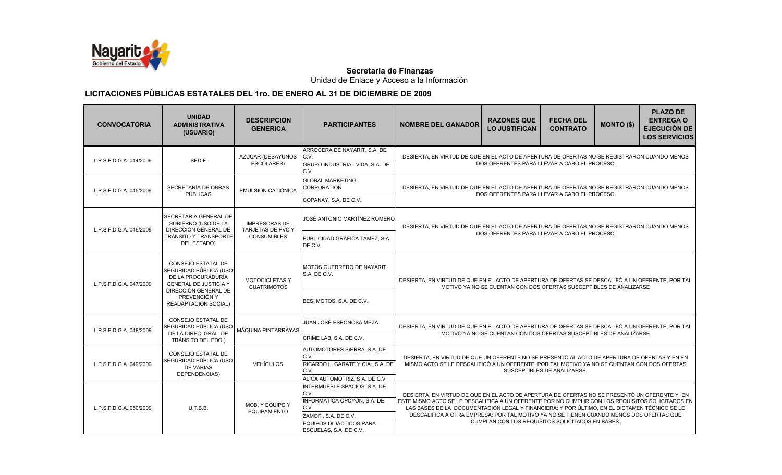

Unidad de Enlace y Acceso a la Información

| <b>CONVOCATORIA</b>     | <b>UNIDAD</b><br><b>ADMINISTRATIVA</b><br>(USUARIO)                                                 | <b>DESCRIPCION</b><br><b>GENERICA</b>     | <b>PARTICIPANTES</b>                                                                                                                                            | <b>NOMBRE DEL GANADOR</b>                                                                                                                                                                                                                                                                                                                                                                                                                       | <b>RAZONES QUE</b><br><b>LO JUSTIFICAN</b>                         | <b>FECHA DEL</b><br><b>CONTRATO</b> | <b>MONTO (\$)</b> | <b>PLAZO DE</b><br><b>ENTREGA O</b><br><b>EJECUCIÓN DE</b><br><b>LOS SERVICIOS</b> |  |
|-------------------------|-----------------------------------------------------------------------------------------------------|-------------------------------------------|-----------------------------------------------------------------------------------------------------------------------------------------------------------------|-------------------------------------------------------------------------------------------------------------------------------------------------------------------------------------------------------------------------------------------------------------------------------------------------------------------------------------------------------------------------------------------------------------------------------------------------|--------------------------------------------------------------------|-------------------------------------|-------------------|------------------------------------------------------------------------------------|--|
| L.P.S.F.D.G.A. 044/2009 | <b>SEDIF</b>                                                                                        | AZUCAR (DESAYUNOS<br>ESCOLARES)           | ARROCERA DE NAYARIT, S.A. DE<br>C.V.<br><b>GRUPO INDUSTRIAL VIDA, S.A. DE</b><br>C.V.                                                                           | DESIERTA, EN VIRTUD DE QUE EN EL ACTO DE APERTURA DE OFERTAS NO SE REGISTRARON CUANDO MENOS<br>DOS OFERENTES PARA LLEVAR A CABO EL PROCESO                                                                                                                                                                                                                                                                                                      |                                                                    |                                     |                   |                                                                                    |  |
| L.P.S.F.D.G.A. 045/2009 | SECRETARÍA DE OBRAS<br>PÚBLICAS                                                                     | <b>EMULSIÓN CATIÓNICA</b>                 | <b>GLOBAL MARKETING</b><br><b>CORPORATION</b><br>COPANAY, S.A. DE C.V.                                                                                          | DESIERTA, EN VIRTUD DE QUE EN EL ACTO DE APERTURA DE OFERTAS NO SE REGISTRARON CUANDO MENOS<br>DOS OFERENTES PARA LLEVAR A CABO EL PROCESO                                                                                                                                                                                                                                                                                                      |                                                                    |                                     |                   |                                                                                    |  |
| L.P.S.F.D.G.A. 046/2009 | SECRETARÍA GENERAL DE<br><b>GOBIERNO (USO DE LA</b><br>DIRECCIÓN GENERAL DE                         | <b>IMPRESORAS DE</b><br>TARJETAS DE PVC Y | JOSÉ ANTONIO MARTÍNEZ ROMERO                                                                                                                                    | DESIERTA, EN VIRTUD DE QUE EN EL ACTO DE APERTURA DE OFERTAS NO SE REGISTRARON CUANDO MENOS<br>DOS OFERENTES PARA LLEVAR A CABO EL PROCESO                                                                                                                                                                                                                                                                                                      |                                                                    |                                     |                   |                                                                                    |  |
|                         | <b>TRÁNSITO Y TRANSPORTE</b><br>DEL ESTADO)                                                         | <b>CONSUMIBLES</b>                        | PUBLICIDAD GRÁFICA TAMEZ. S.A.<br>DE C.V.                                                                                                                       |                                                                                                                                                                                                                                                                                                                                                                                                                                                 |                                                                    |                                     |                   |                                                                                    |  |
| L.P.S.F.D.G.A. 047/2009 | CONSEJO ESTATAL DE<br>SEGURIDAD PÚBLICA (USO)<br>DE LA PROCURADURÍA<br><b>GENERAL DE JUSTICIA Y</b> | MOTOCICLETAS Y<br><b>CUATRIMOTOS</b>      | MOTOS GUERRERO DE NAYARIT.<br>S.A. DE C.V.                                                                                                                      | DESIERTA, EN VIRTUD DE QUE EN EL ACTO DE APERTURA DE OFERTAS SE DESCALIFÓ A UN OFERENTE, POR TAL<br>MOTIVO YA NO SE CUENTAN CON DOS OFERTAS SUSCEPTIBLES DE ANALIZARSE                                                                                                                                                                                                                                                                          |                                                                    |                                     |                   |                                                                                    |  |
|                         | DIRECCIÓN GENERAL DE<br>PREVENCIÓN Y<br>READAPTACIÓN SOCIAL)                                        |                                           | BESI MOTOS, S.A. DE C.V.                                                                                                                                        |                                                                                                                                                                                                                                                                                                                                                                                                                                                 |                                                                    |                                     |                   |                                                                                    |  |
| L.P.S.F.D.G.A. 048/2009 | CONSEJO ESTATAL DE<br>SEGURIDAD PÚBLICA (USO<br>DE LA DIREC. GRAL. DE<br>TRÁNSITO DEL EDO.)         | MÁQUINA PINTARRAYAS                       | JUAN JOSÉ ESPONOSA MEZA<br>CRIME LAB, S.A. DE C.V.                                                                                                              | DESIERTA, EN VIRTUD DE QUE EN EL ACTO DE APERTURA DE OFERTAS SE DESCALIFÓ A UN OFERENTE, POR TAL                                                                                                                                                                                                                                                                                                                                                | MOTIVO YA NO SE CUENTAN CON DOS OFERTAS SUSCEPTIBLES DE ANALIZARSE |                                     |                   |                                                                                    |  |
| L.P.S.F.D.G.A. 049/2009 | <b>CONSEJO ESTATAL DE</b><br>SEGURIDAD PÚBLICA (USO<br><b>DE VARIAS</b><br>DEPENDENCIAS)            | <b>VEHÍCULOS</b>                          | AUTOMOTORES SIERRA, S.A. DE<br>C.V.<br>RICARDO L. GARATE Y CIA., S.A. DE<br>C.V.<br>ALICA AUTOMOTRIZ, S.A. DE C.V.                                              | DESIERTA. EN VIRTUD DE QUE UN OFERENTE NO SE PRESENTÓ AL ACTO DE APERTURA DE OFERTAS Y EN EN<br>MISMO ACTO SE LE DESCALIFICÓ A UN OFERENTE, POR TAL MOTIVO YA NO SE CUENTAN CON DOS OFERTAS<br>SUSCEPTIBLES DE ANALIZARSE.                                                                                                                                                                                                                      |                                                                    |                                     |                   |                                                                                    |  |
| L.P.S.F.D.G.A. 050/2009 | U.T.B.B.                                                                                            | MOB. Y EQUIPO Y<br><b>EQUIPAMIENTO</b>    | INTERMUEBLE SPACIOS, S.A. DE<br>C.V.<br>INFORMATICA OPCYÓN, S.A. DE<br>C.V.<br>ZAMOFI, S.A. DE C.V.<br><b>EQUIPOS DIDÁCTICOS PARA</b><br>ESCUELAS, S.A. DE C.V. | DESIERTA. EN VIRTUD DE QUE EN EL ACTO DE APERTURA DE OFERTAS NO SE PRESENTÓ UN OFERENTE Y EN<br>ESTE MISMO ACTO SE LE DESCALIFICA A UN OFERENTE POR NO CUMPLIR CON LOS REQUISITOS SOLICITADOS EN<br>LAS BASES DE LA DOCUMENTACIÓN LEGAL Y FINANCIERA; Y POR ÚLTIMO, EN EL DICTAMEN TÉCNICO SE LE<br>DESCALIFICA A OTRA EMPRESA; POR TAL MOTIVO YA NO SE TIENEN CUANDO MENOS DOS OFERTAS QUE<br>CUMPLAN CON LOS REQUISITOS SOLICITADOS EN BASES. |                                                                    |                                     |                   |                                                                                    |  |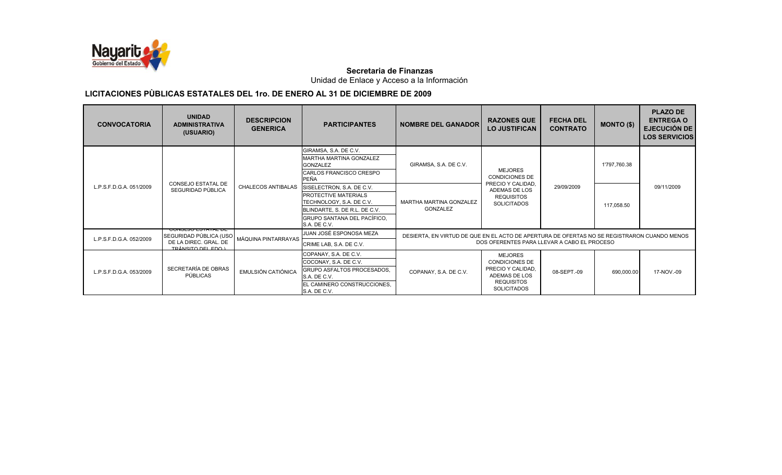

Unidad de Enlace y Acceso a la Información

| <b>CONVOCATORIA</b>     | <b>UNIDAD</b><br><b>ADMINISTRATIVA</b><br>(USUARIO) | <b>DESCRIPCION</b><br><b>GENERICA</b>       | <b>PARTICIPANTES</b>                                    | <b>NOMBRE DEL GANADOR</b>                                                                   | <b>RAZONES QUE</b><br><b>LO JUSTIFICAN</b>  | <b>FECHA DEL</b><br><b>CONTRATO</b> | <b>MONTO (\$)</b> | <b>PLAZO DE</b><br><b>ENTREGA O</b> |                                             |
|-------------------------|-----------------------------------------------------|---------------------------------------------|---------------------------------------------------------|---------------------------------------------------------------------------------------------|---------------------------------------------|-------------------------------------|-------------------|-------------------------------------|---------------------------------------------|
|                         |                                                     |                                             | GIRAMSA, S.A. DE C.V.<br><b>MARTHA MARTINA GONZALEZ</b> |                                                                                             |                                             |                                     |                   |                                     |                                             |
| L.P.S.F.D.G.A. 051/2009 |                                                     |                                             | <b>GONZALEZ</b>                                         | GIRAMSA, S.A. DE C.V.                                                                       | <b>MEJORES</b>                              |                                     | 1'797,760.38      |                                     |                                             |
|                         |                                                     |                                             | CARLOS FRANCISCO CRESPO<br><b>PEÑA</b>                  |                                                                                             | <b>CONDICIONES DE</b>                       |                                     |                   |                                     |                                             |
|                         | CONSEJO ESTATAL DE<br>SEGURIDAD PÚBLICA             | <b>CHALECOS ANTIBALAS</b>                   | SISELECTRON, S.A. DE C.V.                               |                                                                                             | PRECIO Y CALIDAD.<br>ADEMAS DE LOS          | 29/09/2009                          |                   | 09/11/2009                          |                                             |
|                         |                                                     |                                             | PROTECTIVE MATERIALS<br>TECHNOLOGY, S.A. DE C.V.        | MARTHA MARTINA GONZALEZ                                                                     | <b>REQUISITOS</b><br><b>SOLICITADOS</b>     |                                     | 117,058.50        |                                     |                                             |
|                         |                                                     |                                             | BLINDARTE, S. DE R.L. DE C.V.                           | <b>GONZALEZ</b>                                                                             |                                             |                                     |                   |                                     |                                             |
|                         |                                                     |                                             | GRUPO SANTANA DEL PACÍFICO,                             |                                                                                             |                                             |                                     |                   |                                     |                                             |
|                         | <b>POINDERO EQITITE DE</b>                          |                                             | S.A. DE C.V.                                            |                                                                                             |                                             |                                     |                   |                                     |                                             |
|                         | SEGURIDAD PÚBLICA (USO                              | MÁQUINA PINTARRAYAS                         | JUAN JOSÉ ESPONOSA MEZA                                 | DESIERTA, EN VIRTUD DE QUE EN EL ACTO DE APERTURA DE OFERTAS NO SE REGISTRARON CUANDO MENOS |                                             |                                     |                   |                                     |                                             |
| L.P.S.F.D.G.A. 052/2009 | DE LA DIREC. GRAL. DE<br>TRÁNSITO DEL EDO L         |                                             | CRIME LAB, S.A. DE C.V.                                 |                                                                                             | DOS OFERENTES PARA LLEVAR A CABO EL PROCESO |                                     |                   |                                     |                                             |
|                         |                                                     |                                             | COPANAY, S.A. DE C.V.                                   |                                                                                             | <b>MEJORES</b>                              |                                     |                   |                                     |                                             |
|                         |                                                     | COCONAY, S.A. DE C.V.<br>EMULSIÓN CATIÓNICA |                                                         |                                                                                             | <b>CONDICIONES DE</b>                       |                                     |                   |                                     |                                             |
| L.P.S.F.D.G.A. 053/2009 | SECRETARÍA DE OBRAS                                 |                                             | GRUPO ASFALTOS PROCESADOS,                              | COPANAY, S.A. DE C.V.                                                                       | PRECIO Y CALIDAD.<br>ADEMAS DE LOS          | 08-SEPT.-09                         | 690,000.00        | 17-NOV.-09                          |                                             |
|                         |                                                     | PÚBLICAS                                    |                                                         | S.A. DE C.V.                                                                                |                                             | <b>REQUISITOS</b>                   |                   |                                     | <b>EJECUCIÓN DE</b><br><b>LOS SERVICIOS</b> |
|                         |                                                     |                                             | EL CAMINERO CONSTRUCCIONES.<br>S.A. DE C.V.             |                                                                                             | <b>SOLICITADOS</b>                          |                                     |                   |                                     |                                             |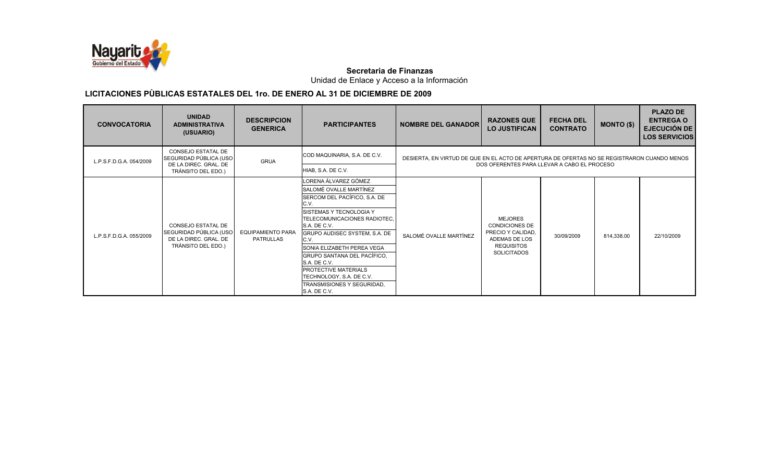

Unidad de Enlace y Acceso a la Información

| <b>CONVOCATORIA</b>     | <b>UNIDAD</b><br><b>ADMINISTRATIVA</b><br>(USUARIO)                                         | <b>DESCRIPCION</b><br><b>GENERICA</b>        | <b>PARTICIPANTES</b>                                                                                                                                                                                                                                                                                                   | <b>NOMBRE DEL GANADOR</b>                                                                                                                  | <b>RAZONES QUE</b><br><b>LO JUSTIFICAN</b>                                                                               | <b>FECHA DEL</b><br><b>CONTRATO</b> | <b>MONTO (\$)</b> | <b>PLAZO DE</b><br><b>ENTREGA O</b><br><b>EJECUCIÓN DE</b><br><b>LOS SERVICIOS</b> |
|-------------------------|---------------------------------------------------------------------------------------------|----------------------------------------------|------------------------------------------------------------------------------------------------------------------------------------------------------------------------------------------------------------------------------------------------------------------------------------------------------------------------|--------------------------------------------------------------------------------------------------------------------------------------------|--------------------------------------------------------------------------------------------------------------------------|-------------------------------------|-------------------|------------------------------------------------------------------------------------|
| L.P.S.F.D.G.A. 054/2009 | CONSEJO ESTATAL DE<br>SEGURIDAD PÚBLICA (USO<br>DE LA DIREC. GRAL. DE<br>TRÁNSITO DEL EDO.) | <b>GRUA</b>                                  | COD MAQUINARIA, S.A. DE C.V.<br>HIAB, S.A. DE C.V.                                                                                                                                                                                                                                                                     | DESIERTA. EN VIRTUD DE QUE EN EL ACTO DE APERTURA DE OFERTAS NO SE REGISTRARON CUANDO MENOS<br>DOS OFERENTES PARA LLEVAR A CABO EL PROCESO |                                                                                                                          |                                     |                   |                                                                                    |
| L.P.S.F.D.G.A. 055/2009 | CONSEJO ESTATAL DE<br>SEGURIDAD PÚBLICA (USO<br>DE LA DIREC. GRAL. DE<br>TRÁNSITO DEL EDO.) | <b>EQUIPAMIENTO PARA</b><br><b>PATRULLAS</b> | LORENA ÁLVAREZ GÓMEZ<br>SALOMÉ OVALLE MARTÍNEZ<br>SERCOM DEL PACÍFICO, S.A. DE<br>C.V.<br>SISTEMAS Y TECNOLOGIA Y<br>TELECOMUNICACIONES RADIOTEC.<br>S.A. DE C.V.<br>GRUPO AUDISEC SYSTEM, S.A. DE<br>C.V.<br>SONIA ELIZABETH PEREA VEGA<br>GRUPO SANTANA DEL PACÍFICO,<br>S.A. DE C.V.<br><b>PROTECTIVE MATERIALS</b> | SALOMÉ OVALLE MARTÍNEZ                                                                                                                     | <b>MEJORES</b><br><b>CONDICIONES DE</b><br>PRECIO Y CALIDAD.<br>ADEMAS DE LOS<br><b>REQUISITOS</b><br><b>SOLICITADOS</b> | 30/09/2009                          | 814,338.00        | 22/10/2009                                                                         |
|                         |                                                                                             |                                              | TECHNOLOGY, S.A. DE C.V.<br>TRANSMISIONES Y SEGURIDAD.<br>S.A. DE C.V.                                                                                                                                                                                                                                                 |                                                                                                                                            |                                                                                                                          |                                     |                   |                                                                                    |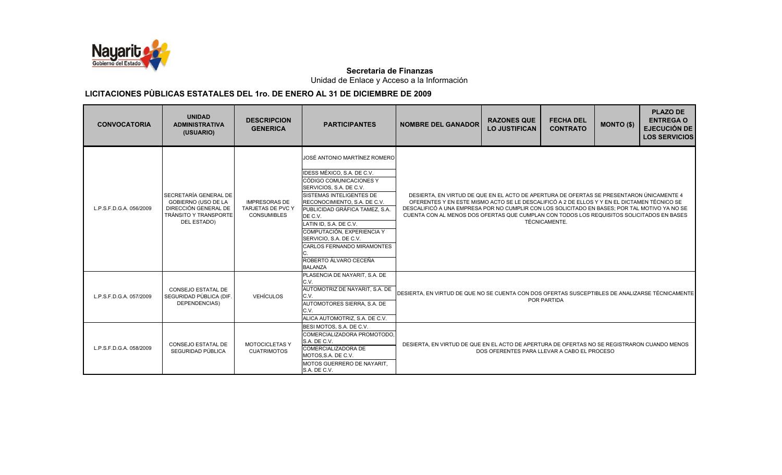

Unidad de Enlace y Acceso a la Información

| <b>CONVOCATORIA</b>     | <b>UNIDAD</b><br><b>ADMINISTRATIVA</b><br>(USUARIO)                                                                        | <b>DESCRIPCION</b><br><b>GENERICA</b>                           | <b>PARTICIPANTES</b>                                                                                                                                                                                                                                                                                                                                                                               | <b>NOMBRE DEL GANADOR</b>                                                                                                                                                                                                                                                                                                                                                             | <b>RAZONES QUE</b><br><b>LO JUSTIFICAN</b>  | <b>FECHA DEL</b><br><b>CONTRATO</b> | <b>MONTO (\$)</b> | <b>PLAZO DE</b><br><b>ENTREGA O</b><br><b>EJECUCIÓN DE</b><br><b>LOS SERVICIOS</b> |
|-------------------------|----------------------------------------------------------------------------------------------------------------------------|-----------------------------------------------------------------|----------------------------------------------------------------------------------------------------------------------------------------------------------------------------------------------------------------------------------------------------------------------------------------------------------------------------------------------------------------------------------------------------|---------------------------------------------------------------------------------------------------------------------------------------------------------------------------------------------------------------------------------------------------------------------------------------------------------------------------------------------------------------------------------------|---------------------------------------------|-------------------------------------|-------------------|------------------------------------------------------------------------------------|
| L.P.S.F.D.G.A. 056/2009 | SECRETARÍA GENERAL DE<br><b>GOBIERNO (USO DE LA</b><br>DIRECCIÓN GENERAL DE<br>TRÁNSITO Y TRANSPORTE<br><b>DEL ESTADO)</b> | <b>IMPRESORAS DE</b><br>TARJETAS DE PVC Y<br><b>CONSUMIBLES</b> | JOSÉ ANTONIO MARTÍNEZ ROMERO<br><b>IDESS MÉXICO, S.A. DE C.V.</b><br>CÓDIGO COMUNICACIONES Y<br>SERVICIOS, S.A. DE C.V.<br><b>SISTEMAS INTELIGENTES DE</b><br>RECONOCIMIENTO, S.A. DE C.V.<br>PUBLICIDAD GRÁFICA TAMEZ. S.A.<br>DE C.V.<br>LATIN ID, S.A. DE C.V.<br>COMPUTACIÓN, EXPERIENCIA Y<br>SERVICIO, S.A. DE C.V.<br>CARLOS FERNANDO MIRAMONTES<br>ROBERTO ÁLVARO CECEÑA<br><b>BALANZA</b> | DESIERTA, EN VIRTUD DE QUE EN EL ACTO DE APERTURA DE OFERTAS SE PRESENTARON ÚNICAMENTE 4<br>OFERENTES Y EN ESTE MISMO ACTO SE LE DESCALIFICÓ A 2 DE ELLOS Y Y EN EL DICTAMEN TÉCNICO SE<br>DESCALIFICÓ A UNA EMPRESA POR NO CUMPLIR CON LOS SOLICITADO EN BASES; POR TAL MOTIVO YA NO SE<br>CUENTA CON AL MENOS DOS OFERTAS QUE CUMPLAN CON TODOS LOS REQUISITOS SOLICITADOS EN BASES |                                             | <b>TÉCNICAMENTE.</b>                |                   |                                                                                    |
| L.P.S.F.D.G.A. 057/2009 | <b>CONSEJO ESTATAL DE</b><br>SEGURIDAD PÙBLICA (DIF.<br>DEPENDENCIAS)                                                      | <b>VEHÍCULOS</b>                                                | PLASENCIA DE NAYARIT, S.A. DE<br>C.V.<br>AUTOMOTRIZ DE NAYARIT, S.A. DE<br>C.V.<br>AUTOMOTORES SIERRA, S.A. DE<br>C.V.<br>ALICA AUTOMOTRIZ, S.A. DE C.V.                                                                                                                                                                                                                                           | DESIERTA, EN VIRTUD DE QUE NO SE CUENTA CON DOS OFERTAS SUSCEPTIBLES DE ANALIZARSE TÉCNICAMENTE                                                                                                                                                                                                                                                                                       |                                             | POR PARTIDA                         |                   |                                                                                    |
| L.P.S.F.D.G.A. 058/2009 | CONSEJO ESTATAL DE<br>SEGURIDAD PÚBLICA                                                                                    | MOTOCICLETAS Y<br><b>CUATRIMOTOS</b>                            | BESI MOTOS, S.A. DE C.V.<br>COMERCIALIZADORA PROMOTODO.<br>S.A. DE C.V.<br>COMERCIALIZADORA DE<br>MOTOS, S.A. DE C.V.<br>MOTOS GUERRERO DE NAYARIT.<br>S.A. DE C.V.                                                                                                                                                                                                                                | DESIERTA, EN VIRTUD DE QUE EN EL ACTO DE APERTURA DE OFERTAS NO SE REGISTRARON CUANDO MENOS                                                                                                                                                                                                                                                                                           | DOS OFERENTES PARA LLEVAR A CABO EL PROCESO |                                     |                   |                                                                                    |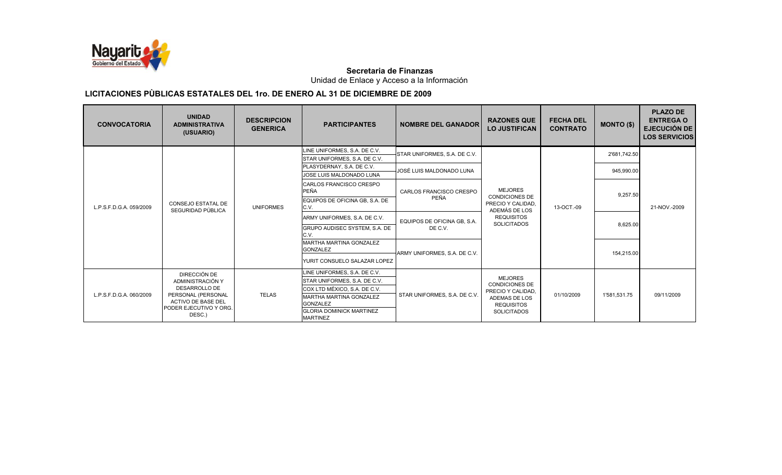

Unidad de Enlace y Acceso a la Información

| <b>CONVOCATORIA</b>     | <b>UNIDAD</b><br><b>ADMINISTRATIVA</b><br>(USUARIO)             | <b>DESCRIPCION</b><br><b>GENERICA</b>      | <b>PARTICIPANTES</b>                                         | <b>NOMBRE DEL GANADOR</b>          | <b>RAZONES QUE</b><br><b>LO JUSTIFICAN</b>                  | <b>FECHA DEL</b><br><b>CONTRATO</b> | <b>MONTO (\$)</b> | <b>PLAZO DE</b><br><b>ENTREGA O</b><br><b>EJECUCIÓN DE</b><br><b>LOS SERVICIOS</b> |
|-------------------------|-----------------------------------------------------------------|--------------------------------------------|--------------------------------------------------------------|------------------------------------|-------------------------------------------------------------|-------------------------------------|-------------------|------------------------------------------------------------------------------------|
|                         |                                                                 |                                            | LINE UNIFORMES, S.A. DE C.V.<br>STAR UNIFORMES, S.A. DE C.V. | STAR UNIFORMES, S.A. DE C.V.       |                                                             |                                     | 2'681,742.50      |                                                                                    |
|                         |                                                                 |                                            | PLASYDERNAY, S.A. DE C.V.                                    | JOSÉ LUIS MALDONADO LUNA           |                                                             |                                     | 945,990.00        |                                                                                    |
|                         |                                                                 |                                            | JOSE LUIS MALDONADO LUNA                                     |                                    |                                                             |                                     |                   |                                                                                    |
| L.P.S.F.D.G.A. 059/2009 |                                                                 |                                            | CARLOS FRANCISCO CRESPO<br><b>PEÑA</b>                       | CARLOS FRANCISCO CRESPO            | <b>MEJORES</b>                                              |                                     | 9,257.50          |                                                                                    |
|                         | CONSEJO ESTATAL DE<br>SEGURIDAD PÚBLICA                         | <b>UNIFORMES</b>                           | EQUIPOS DE OFICINA GB, S.A. DE<br>C.V.                       | PEÑA                               | <b>CONDICIONES DE</b><br>PRECIO Y CALIDAD.<br>ADEMÁS DE LOS | 13-OCT.-09                          |                   | 21-NOV.-2009                                                                       |
|                         |                                                                 |                                            | ARMY UNIFORMES, S.A. DE C.V.                                 | EQUIPOS DE OFICINA GB, S.A.        | <b>REQUISITOS</b><br><b>SOLICITADOS</b>                     |                                     |                   |                                                                                    |
|                         |                                                                 |                                            | GRUPO AUDISEC SYSTEM, S.A. DE<br>C.V.                        | DE C.V.                            |                                                             |                                     | 8,625.00          |                                                                                    |
|                         |                                                                 |                                            | <b>MARTHA MARTINA GONZALEZ</b><br><b>GONZALEZ</b>            |                                    |                                                             |                                     |                   |                                                                                    |
|                         |                                                                 |                                            | YURIT CONSUELO SALAZAR LOPEZ                                 | ARMY UNIFORMES, S.A. DE C.V.       |                                                             |                                     | 154,215.00        |                                                                                    |
|                         | DIRECCIÓN DE                                                    |                                            | LINE UNIFORMES, S.A. DE C.V.                                 |                                    |                                                             |                                     |                   |                                                                                    |
|                         | ADMINISTRACIÓN Y                                                |                                            | STAR UNIFORMES, S.A. DE C.V.                                 |                                    | <b>MEJORES</b>                                              |                                     |                   |                                                                                    |
|                         | <b>DESARROLLO DE</b>                                            |                                            | COX LTD MÉXICO, S.A. DE C.V.                                 |                                    | <b>CONDICIONES DE</b>                                       |                                     |                   |                                                                                    |
| L.P.S.F.D.G.A. 060/2009 | <b>TELAS</b><br>PERSONAL (PERSONAL<br><b>ACTIVO DE BASE DEL</b> | MARTHA MARTINA GONZALEZ<br><b>GONZALEZ</b> | STAR UNIFORMES, S.A. DE C.V.                                 | PRECIO Y CALIDAD,<br>ADEMAS DE LOS | 01/10/2009                                                  | 1'581.531.75                        | 09/11/2009        |                                                                                    |
|                         | PODER EJECUTIVO Y ORG.<br>DESC.)                                |                                            | <b>GLORIA DOMINICK MARTINEZ</b><br><b>MARTINEZ</b>           |                                    | <b>REQUISITOS</b><br><b>SOLICITADOS</b>                     |                                     |                   |                                                                                    |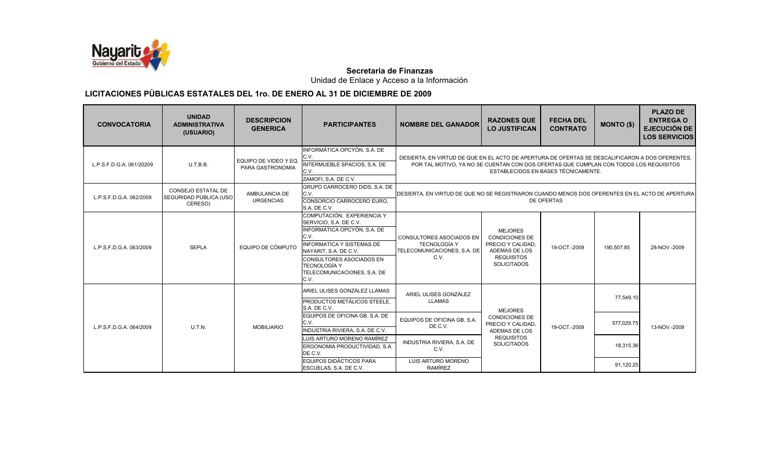

Unidad de Enlace y Acceso a la Información

| <b>CONVOCATORIA</b>      | <b>UNIDAD</b><br><b>ADMINISTRATIVA</b><br>(USUARIO)     | <b>DESCRIPCION</b><br><b>GENERICA</b>     | <b>PARTICIPANTES</b>                                                                                                                                                                                                                               | <b>NOMBRE DEL GANADOR</b>                                                                                                                                                                                                       | <b>RAZONES QUE</b><br><b>LO JUSTIFICAN</b>                                                                                      | <b>FECHA DEL</b><br><b>CONTRATO</b> | <b>MONTO (\$)</b> | <b>PLAZO DE</b><br><b>ENTREGA O</b><br><b>EJECUCIÓN DE</b><br><b>LOS SERVICIOS</b> |  |
|--------------------------|---------------------------------------------------------|-------------------------------------------|----------------------------------------------------------------------------------------------------------------------------------------------------------------------------------------------------------------------------------------------------|---------------------------------------------------------------------------------------------------------------------------------------------------------------------------------------------------------------------------------|---------------------------------------------------------------------------------------------------------------------------------|-------------------------------------|-------------------|------------------------------------------------------------------------------------|--|
| L.P.S.F.D.G.A. 061/20209 | U.T.B.B.                                                | EQUIPO DE VIDEO Y EQ.<br>PARA GASTRONOMIA | INFORMÁTICA OPCYÓN, S.A. DE<br>C.V.<br>INTERMUEBLE SPACIOS, S.A. DE<br>C.V.<br>ZAMOFI, S.A. DE C.V.                                                                                                                                                | DESIERTA. EN VIRTUD DE QUE EN EL ACTO DE APERTURA DE OFERTAS SE DESCALIFICARON A DOS OFERENTES.<br>POR TAL MOTIVO, YA NO SE CUENTAN CON DOS OFERTAS QUE CUMPLAN CON TODOS LOS REQUISITOS<br>ESTABLECIDOS EN BASES TÉCNICAMENTE. |                                                                                                                                 |                                     |                   |                                                                                    |  |
| L.P.S.F.D.G.A. 062/2009  | CONSEJO ESTATAL DE<br>SEGURIDAD PÚBLICA (USO<br>CERESO) | AMBULANCIA DE<br><b>URGENCIAS</b>         | GRUPO CARROCERO DIDS, S.A. DE<br>C.V.<br>CONSORCIO CARROCERO EURO.<br>S.A. DE C.V.                                                                                                                                                                 | DESIERTA, EN VIRTUD DE QUE NO SE REGISTRARON CUANDO MENOS DOS OFERENTES EN EL ACTO DE APERTURA<br><b>DE OFERTAS</b>                                                                                                             |                                                                                                                                 |                                     |                   |                                                                                    |  |
| L.P.S.F.D.G.A. 063/2009  | <b>SEPLA</b>                                            | EQUIPO DE CÓMPUTO                         | COMPUTACIÓN, EXPERIENCIA Y<br>SERVICIO, S.A. DE C.V.<br>INFORMÁTICA OPCYÓN, S.A. DE<br>C.V.<br><b>INFORMATICA Y SISTEMAS DE</b><br>NAYARIT, S.A. DE C.V.<br>CONSULTORES ASOCIADOS EN<br><b>TECNOLOGÍA Y</b><br>TELECOMUNICACIONES, S.A. DE<br>C.V. | <b>CONSULTORES ASOCIADOS EN</b><br><b>TECNOLOGÍA Y</b><br>TELECOMUNICACIONES, S.A. DE<br>C.V.                                                                                                                                   | <b>MEJORES</b><br><b>CONDICIONES DE</b><br>PRECIO Y CALIDAD.<br><b>ADEMAS DE LOS</b><br><b>REQUISITOS</b><br><b>SOLICITADOS</b> | 19-OCT <sub>-2009</sub>             | 190,507.85        | 28-NOV.-2009                                                                       |  |
|                          |                                                         |                                           | ARIEL ULISES GONZÁLEZ LLAMAS<br>PRODUCTOS METÁLICOS STEELE,<br>S.A. DE C.V.                                                                                                                                                                        | ARIEL ULISES GONZÁLEZ<br><b>LLAMAS</b>                                                                                                                                                                                          | <b>MEJORES</b>                                                                                                                  |                                     | 77,549.10         |                                                                                    |  |
| L.P.S.F.D.G.A. 064/2009  | U.T.N.                                                  | <b>MOBILIARIO</b>                         | EQUIPOS DE OFICINA GB. S.A. DE<br>C.V.<br>INDUSTRIA RIVIERA, S.A. DE C.V.                                                                                                                                                                          | EQUIPOS DE OFICINA GB, S.A.<br>DE C.V.                                                                                                                                                                                          | <b>CONDICIONES DE</b><br>PRECIO Y CALIDAD.<br>ADEMAS DE LOS                                                                     | 19-OCT-2009                         | 577,029.75        | 13-NOV.-2009                                                                       |  |
|                          |                                                         |                                           | LUIS ARTURO MORENO RAMÍREZ<br>ERGONOMIA PRODUCTIVIDAD, S.A.<br>DE C.V.                                                                                                                                                                             | <b>REQUISITOS</b><br>INDUSTRIA RIVIERA, S.A. DE<br><b>SOLICITADOS</b><br>C.V.                                                                                                                                                   |                                                                                                                                 | 18,315.36                           |                   |                                                                                    |  |
|                          |                                                         |                                           | EQUIPOS DIDÁCTICOS PARA<br>ESCUELAS, S.A. DE C.V.                                                                                                                                                                                                  | LUIS ARTURO MORENO<br>RAMÍREZ                                                                                                                                                                                                   |                                                                                                                                 |                                     | 91,120.25         |                                                                                    |  |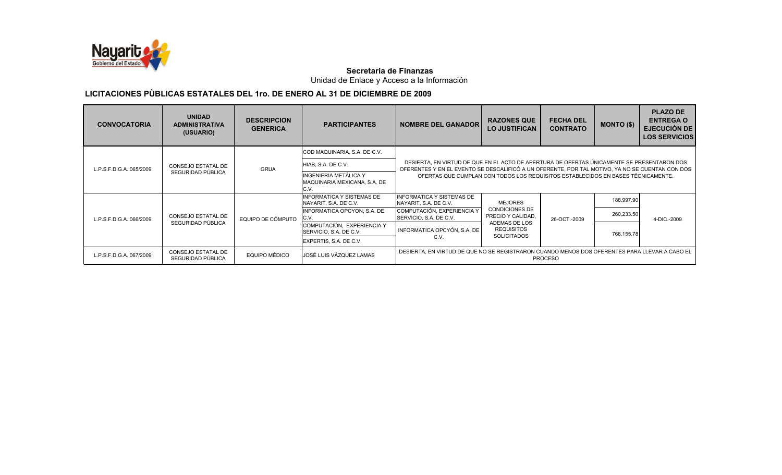

Unidad de Enlace y Acceso a la Información

| <b>CONVOCATORIA</b>     | <b>UNIDAD</b><br><b>ADMINISTRATIVA</b><br>(USUARIO) | <b>DESCRIPCION</b><br><b>GENERICA</b> | <b>PARTICIPANTES</b>                                          | <b>NOMBRE DEL GANADOR</b>                                                                     | <b>RAZONES QUE</b><br><b>LO JUSTIFICAN</b> | <b>FECHA DEL</b><br><b>CONTRATO</b> | <b>MONTO (\$)</b> | <b>PLAZO DE</b><br><b>ENTREGA O</b><br><b>EJECUCIÓN DE</b><br><b>LOS SERVICIOS</b>                                                                                                                                                                     |  |  |  |  |  |
|-------------------------|-----------------------------------------------------|---------------------------------------|---------------------------------------------------------------|-----------------------------------------------------------------------------------------------|--------------------------------------------|-------------------------------------|-------------------|--------------------------------------------------------------------------------------------------------------------------------------------------------------------------------------------------------------------------------------------------------|--|--|--|--|--|
|                         |                                                     |                                       | COD MAQUINARIA, S.A. DE C.V.                                  |                                                                                               |                                            |                                     |                   |                                                                                                                                                                                                                                                        |  |  |  |  |  |
| L.P.S.F.D.G.A. 065/2009 | CONSEJO ESTATAL DE                                  | <b>GRUA</b>                           | HIAB, S.A. DE C.V.                                            |                                                                                               |                                            |                                     |                   | DESIERTA, EN VIRTUD DE QUE EN EL ACTO DE APERTURA DE OFERTAS ÚNICAMENTE SE PRESENTARON DOS<br>OFERENTES Y EN EL EVENTO SE DESCALIFICÓ A UN OFERENTE, POR TAL MOTIVO, YA NO SE CUENTAN CON DOS<br>188,997.90<br>260,233.50<br>4-DIC.-2009<br>766,155.78 |  |  |  |  |  |
| SEGURIDAD PÚBLICA       |                                                     |                                       | INGENIERIA METÁLICA Y<br>MAQUINARIA MEXICANA, S.A. DE<br>C.V. | OFERTAS QUE CUMPLAN CON TODOS LOS REQUISITOS ESTABLECIDOS EN BASES TÉCNICAMENTE.              |                                            |                                     |                   |                                                                                                                                                                                                                                                        |  |  |  |  |  |
|                         |                                                     |                                       | INFORMATICA Y SISTEMAS DE<br>NAYARIT, S.A. DE C.V.            | <b>INFORMATICA Y SISTEMAS DE</b><br>NAYARIT, S.A. DE C.V.                                     | <b>MEJORES</b>                             |                                     |                   |                                                                                                                                                                                                                                                        |  |  |  |  |  |
| L.P.S.F.D.G.A. 066/2009 | CONSEJO ESTATAL DE                                  | EQUIPO DE CÓMPUTO                     | INFORMATICA OPCYON, S.A. DE<br>C.V.                           | COMPUTACIÓN, EXPERIENCIA Y<br>SERVICIO, S.A. DE C.V.                                          | <b>CONDICIONES DE</b><br>PRECIO Y CALIDAD, | 26-OCT.-2009                        |                   |                                                                                                                                                                                                                                                        |  |  |  |  |  |
|                         | SEGURIDAD PÚBLICA                                   |                                       | COMPUTACIÓN, EXPERIENCIA Y<br>SERVICIO, S.A. DE C.V.          | INFORMATICA OPCYÓN, S.A. DE                                                                   | ADEMAS DE LOS<br><b>REQUISITOS</b>         |                                     |                   |                                                                                                                                                                                                                                                        |  |  |  |  |  |
|                         |                                                     |                                       | EXPERTIS, S.A. DE C.V.                                        | C.V.                                                                                          | <b>SOLICITADOS</b>                         |                                     |                   |                                                                                                                                                                                                                                                        |  |  |  |  |  |
| L.P.S.F.D.G.A. 067/2009 | <b>CONSEJO ESTATAL DE</b><br>SEGURIDAD PÚBLICA      | EQUIPO MÉDICO                         | JOSÉ LUIS VÁZQUEZ LAMAS                                       | DESIERTA, EN VIRTUD DE QUE NO SE REGISTRARON CUANDO MENOS DOS OFERENTES PARA LLEVAR A CABO EL |                                            | <b>PROCESO</b>                      |                   |                                                                                                                                                                                                                                                        |  |  |  |  |  |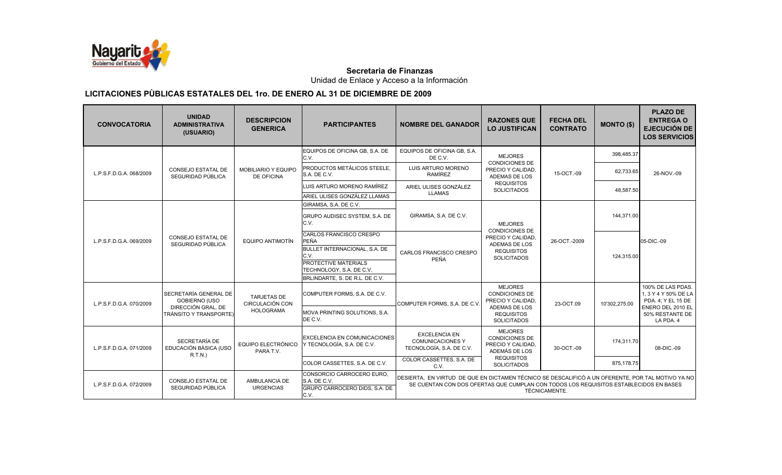

Unidad de Enlace y Acceso a la Información

| <b>CONVOCATORIA</b>     | <b>UNIDAD</b><br><b>ADMINISTRATIVA</b><br>(USUARIO) | <b>DESCRIPCION</b><br><b>GENERICA</b>        | <b>PARTICIPANTES</b>                                                               | <b>NOMBRE DEL GANADOR</b>                                                                                                                                                                                   | <b>RAZONES QUE</b><br><b>LO JUSTIFICAN</b>                                    | <b>FECHA DEL</b><br><b>CONTRATO</b> | <b>MONTO (\$)</b> | <b>PLAZO DE</b><br><b>ENTREGA O</b><br><b>EJECUCIÓN DE</b><br><b>LOS SERVICIOS</b> |  |
|-------------------------|-----------------------------------------------------|----------------------------------------------|------------------------------------------------------------------------------------|-------------------------------------------------------------------------------------------------------------------------------------------------------------------------------------------------------------|-------------------------------------------------------------------------------|-------------------------------------|-------------------|------------------------------------------------------------------------------------|--|
|                         |                                                     |                                              | EQUIPOS DE OFICINA GB, S.A. DE<br>C.V.                                             | EQUIPOS DE OFICINA GB, S.A.<br>DE C.V.                                                                                                                                                                      | <b>MEJORES</b>                                                                |                                     | 398,485.37        |                                                                                    |  |
| L.P.S.F.D.G.A. 068/2009 | <b>CONSEJO ESTATAL DE</b><br>SEGURIDAD PÚBLICA      | MOBILIARIO Y EQUIPO<br><b>DE OFICINA</b>     | PRODUCTOS METÁLICOS STEELE.<br>S.A. DE C.V.                                        | LUIS ARTURO MORENO<br>RAMÍREZ                                                                                                                                                                               | <b>CONDICIONES DE</b><br>PRECIO Y CALIDAD,<br>ADEMAS DE LOS                   | 15-OCT <sub>-09</sub>               | 62,733.65         | 26-NOV.-09                                                                         |  |
|                         |                                                     |                                              | LUIS ARTURO MORENO RAMÍREZ<br>ARIEL ULISES GONZÁLEZ LLAMAS                         | ARIEL ULISES GONZÁLEZ<br><b>LLAMAS</b>                                                                                                                                                                      | <b>REQUISITOS</b><br>SOLICITADOS                                              |                                     | 48,587.50         |                                                                                    |  |
|                         |                                                     |                                              | GIRAMSA, S.A. DE C.V.                                                              |                                                                                                                                                                                                             |                                                                               |                                     |                   |                                                                                    |  |
|                         |                                                     |                                              | GRUPO AUDISEC SYSTEM, S.A. DE<br>C.V.                                              | GIRAMSA, S.A. DE C.V.                                                                                                                                                                                       | <b>MEJORES</b>                                                                |                                     | 144.371.00        |                                                                                    |  |
| L.P.S.F.D.G.A. 069/2009 | <b>CONSEJO ESTATAL DE</b><br>SEGURIDAD PÚBLICA      | EQUIPO ANTIMOTÍN                             | CARLOS FRANCISCO CRESPO<br><b>PEÑA</b>                                             |                                                                                                                                                                                                             | <b>CONDICIONES DE</b><br>PRECIO Y CALIDAD,<br>ADEMAS DE LOS                   | 26-OCT.-2009                        |                   | 05-DIC.-09                                                                         |  |
|                         |                                                     |                                              | BULLET INTERNACIONAL, S.A. DE<br>C.V.                                              | CARLOS FRANCISCO CRESPO                                                                                                                                                                                     | <b>REQUISITOS</b><br><b>SOLICITADOS</b>                                       |                                     | 124,315.00        |                                                                                    |  |
|                         |                                                     |                                              | PROTECTIVE MATERIALS<br>TECHNOLOGY, S.A. DE C.V.                                   | PEÑA                                                                                                                                                                                                        |                                                                               |                                     |                   |                                                                                    |  |
|                         |                                                     |                                              | BRLINDARTE, S. DE R.L. DE C.V.                                                     |                                                                                                                                                                                                             |                                                                               |                                     |                   |                                                                                    |  |
| L.P.S.F.D.G.A. 070/2009 | SECRETARÍA GENERAL DE<br><b>GOBIERNO (USO</b>       | <b>TARJETAS DE</b><br><b>CIRCULACIÓN CON</b> | COMPUTER FORMS, S.A. DE C.V.                                                       | COMPUTER FORMS, S.A. DE C.V.                                                                                                                                                                                | <b>MEJORES</b><br><b>CONDICIONES DE</b><br>PRECIO Y CALIDAD.                  | 23-OCT.09                           | 10'302.275.00     | 100% DE LAS PDAS.<br>1, 3 Y 4 Y 50% DE LA<br>PDA. 4: Y EL 15 DE                    |  |
|                         | DIRECCIÓN GRAL. DE<br>TRÁNSITO Y TRANSPORTE)        | <b>HOLOGRAMA</b>                             | MOVA PRINTING SOLUTIONS, S.A.<br>DE C.V.                                           |                                                                                                                                                                                                             | ADEMAS DE LOS<br><b>REQUISITOS</b><br><b>SOLICITADOS</b>                      |                                     |                   | ENERO DEL 2010 EL<br>50% RESTANTE DE<br>LA PDA, 4                                  |  |
| L.P.S.F.D.G.A. 071/2009 | SECRETARÍA DE<br>EDUCACIÓN BÁSICA (USO<br>R.T.N.)   | EQUIPO ELECTRÓNICO<br>PARA T.V.              | <b>EXCELENCIA EN COMUNICACIONES</b><br>Y TECNOLOGÍA, S.A. DE C.V.                  | <b>EXCELENCIA EN</b><br><b>COMUNICACIONES Y</b><br>TECNOLOGÍA, S.A. DE C.V.                                                                                                                                 | <b>MEJORES</b><br><b>CONDICIONES DE</b><br>PRECIO Y CALIDAD.<br>ADEMÁS DE LOS | 30-OCT <sub>-09</sub>               | 174.311.70        | 08-DIC.-09                                                                         |  |
|                         |                                                     |                                              | COLOR CASSETTES, S.A. DE C.V.                                                      | COLOR CASSETTES, S.A. DE<br>C.V.                                                                                                                                                                            | <b>REQUISITOS</b><br><b>SOLICITADOS</b>                                       |                                     | 875,178.75        |                                                                                    |  |
| L.P.S.F.D.G.A. 072/2009 | CONSEJO ESTATAL DE<br>SEGURIDAD PÚBLICA             | AMBULANCIA DE<br><b>URGENCIAS</b>            | CONSORCIO CARROCERO EURO.<br>S.A. DE C.V.<br>GRUPO CARROCERO DIDS, S.A. DE<br>C.V. | DESIERTA. EN VIRTUD DE QUE EN DICTAMEN TÉCNICO SE DESCALIFICÓ A UN OFERENTE. POR TAL MOTIVO YA NO<br>SE CUENTAN CON DOS OFERTAS QUE CUMPLAN CON TODOS LOS REQUISITOS ESTABLECIDOS EN BASES<br>TÉCNICAMENTE. |                                                                               |                                     |                   |                                                                                    |  |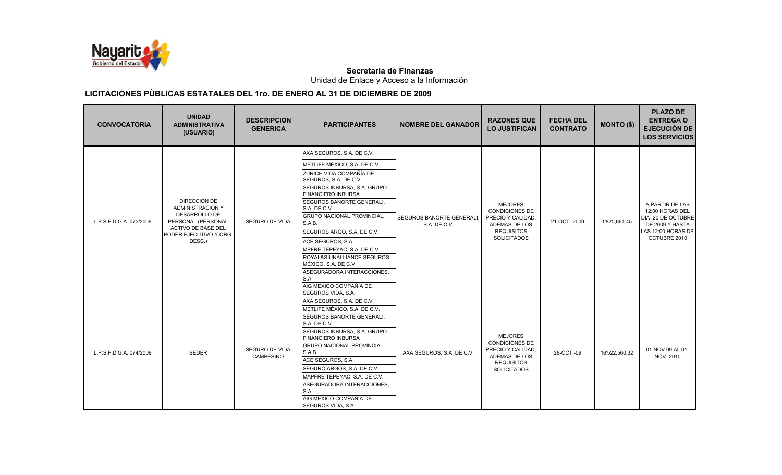

Unidad de Enlace y Acceso a la Información

| <b>CONVOCATORIA</b>     | <b>UNIDAD</b><br><b>ADMINISTRATIVA</b><br>(USUARIO)                                                                               | <b>DESCRIPCION</b><br><b>GENERICA</b> | <b>PARTICIPANTES</b>                                                                                                                                                                                                                                                                                                                                                                                                                                                                               | <b>NOMBRE DEL GANADOR</b>                 | <b>RAZONES QUE</b><br><b>LO JUSTIFICAN</b>                                                                               | <b>FECHA DEL</b><br><b>CONTRATO</b> | <b>MONTO (\$)</b> | <b>PLAZO DE</b><br><b>ENTREGA O</b><br><b>EJECUCIÓN DE</b><br><b>LOS SERVICIOS</b>                               |
|-------------------------|-----------------------------------------------------------------------------------------------------------------------------------|---------------------------------------|----------------------------------------------------------------------------------------------------------------------------------------------------------------------------------------------------------------------------------------------------------------------------------------------------------------------------------------------------------------------------------------------------------------------------------------------------------------------------------------------------|-------------------------------------------|--------------------------------------------------------------------------------------------------------------------------|-------------------------------------|-------------------|------------------------------------------------------------------------------------------------------------------|
| L.P.S.F.D.G.A. 073/2009 | DIRECCIÓN DE<br>ADMINISTRACIÓN Y<br>DESARROLLO DE<br>PERSONAL (PERSONAL<br>ACTIVO DE BASE DEL<br>PODER EJECUTIVO Y ORG.<br>DESC.) | <b>SEGURO DE VIDA</b>                 | AXA SEGUROS, S.A. DE C.V.<br>METLIFE MÉXICO, S.A. DE C.V.<br>ZURICH VIDA COMPAÑÍA DE<br>SEGUROS, S.A. DE C.V.<br>SEGUROS INBURSA, S.A. GRUPO<br><b>FINANCIERO INBURSA</b><br>SEGUROS BANORTE GENERALI,<br>S.A. DE C.V.<br><b>GRUPO NACIONAL PROVINCIAL,</b><br>S.A.B.<br>SEGUROS ARGO, S.A. DE C.V.<br>ACE SEGUROS, S.A.<br>MPFRE TEPEYAC, S.A. DE C.V.<br>ROYAL&SIUNALLIANCE SEGUROS<br>MÉXICO, S.A. DE C.V.<br>ASEGURADORA INTERACCIONES,<br>S.A<br>AIG MEXICO COMPAÑÍA DE<br>SEGUROS VIDA, S.A. | SEGUROS BANORTE GENERALI.<br>S.A. DE C.V. | <b>MEJORES</b><br><b>CONDICIONES DE</b><br>PRECIO Y CALIDAD.<br>ADEMAS DE LOS<br><b>REQUISITOS</b><br><b>SOLICITADOS</b> | 21-OCT-2009                         | 1'820,664.45      | A PARTIR DE LAS<br>12:00 HORAS DEL<br>DIA 20 DE OCTUBRE<br>DE 2009 Y HASTA<br>LAS 12:00 HORAS DE<br>OCTUBRE 2010 |
| L.P.S.F.D.G.A. 074/2009 | <b>SEDER</b>                                                                                                                      | <b>SEGURO DE VIDA</b><br>CAMPESINO    | AXA SEGUROS, S.A. DE C.V.<br>METLIFE MÉXICO, S.A. DE C.V.<br>SEGUROS BANORTE GENERALI,<br>S.A. DE C.V.<br>SEGUROS INBURSA, S.A. GRUPO<br><b>FINANCIERO INBURSA</b><br><b>GRUPO NACIONAL PROVINCIAL,</b><br>S.A.B.<br>ACE SEGUROS, S.A.<br>SEGURO ARGOS, S.A. DE C.V.<br>MAPFRE TEPEYAC, S.A. DE C.V.<br>ASEGURADORA INTERACCIONES,<br>S.A<br>AIG MEXICO COMPAÑÍA DE<br>SEGUROS VIDA, S.A.                                                                                                          | AXA SEGUROS, S.A. DE C.V.                 | <b>MEJORES</b><br><b>CONDICIONES DE</b><br>PRECIO Y CALIDAD,<br>ADEMAS DE LOS<br><b>REQUISITOS</b><br><b>SOLICITADOS</b> | 28-OCT.-09                          | 16'522,560.32     | 01-NOV.09 AL 01-<br>NOV.-2010                                                                                    |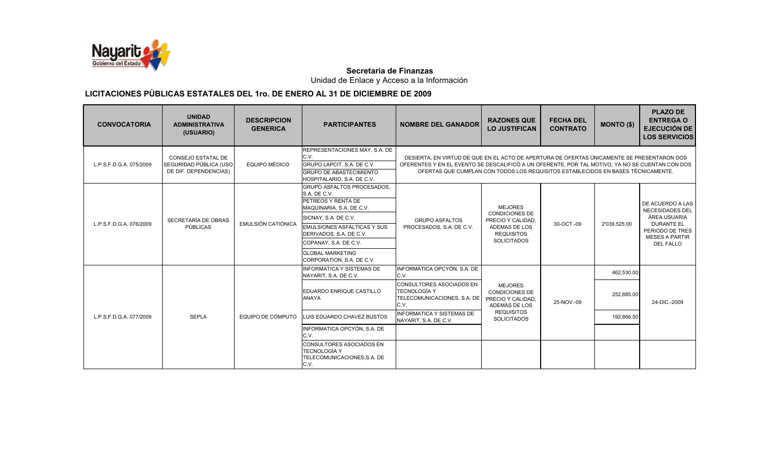

Unidad de Enlace y Acceso a la Información

| <b>CONVOCATORIA</b>     | <b>UNIDAD</b><br><b>ADMINISTRATIVA</b><br>(USUARIO)                   | <b>DESCRIPCION</b><br><b>GENERICA</b> | <b>PARTICIPANTES</b>                                                                                                                                                                                                                                            | <b>NOMBRE DEL GANADOR</b>                                                                                                                                                                                                                                                         | <b>RAZONES QUE</b><br><b>LO JUSTIFICAN</b>                                                                               | <b>FECHA DEL</b><br><b>CONTRATO</b> | <b>MONTO (\$)</b>                      | <b>PLAZO DE</b><br><b>ENTREGA O</b><br><b>EJECUCIÓN DE</b><br><b>LOS SERVICIOS</b>                                                              |
|-------------------------|-----------------------------------------------------------------------|---------------------------------------|-----------------------------------------------------------------------------------------------------------------------------------------------------------------------------------------------------------------------------------------------------------------|-----------------------------------------------------------------------------------------------------------------------------------------------------------------------------------------------------------------------------------------------------------------------------------|--------------------------------------------------------------------------------------------------------------------------|-------------------------------------|----------------------------------------|-------------------------------------------------------------------------------------------------------------------------------------------------|
| L.P.S.F.D.G.A. 075/2009 | CONSEJO ESTATAL DE<br>SEGURIDAD PÚBLICA (USO<br>DE DIF. DEPENDENCIAS) | <b>EQUIPO MÉDICO</b>                  | REPRESENTACIONES MAY, S.A. DE<br>C.V.<br>GRUPO LAPCIT, S.A. DE C.V.<br><b>GRUPO DE ABASTECIMIENTO</b><br>HOSPITALARIO, S.A. DE C.V.                                                                                                                             | DESIERTA, EN VIRTUD DE QUE EN EL ACTO DE APERTURA DE OFERTAS ÚNICAMENTE SE PRESENTARON DOS<br>OFERENTES Y EN EL EVENTO SE DESCALIFICÓ A UN OFERENTE, POR TAL MOTIVO, YA NO SE CUENTAN CON DOS<br>OFERTAS QUE CUMPLAN CON TODOS LOS REQUISITOS ESTABLECIDOS EN BASES TÉCNICAMENTE. |                                                                                                                          |                                     |                                        |                                                                                                                                                 |
| L.P.S.F.D.G.A. 076/2009 | SECRETARÍA DE OBRAS<br>PÚBLICAS                                       | <b>EMULSIÓN CATIÓNICA</b>             | GRUPO ASFALTOS PROCESADOS,<br>S.A. DE C.V.<br>PETREOS Y RENTA DE<br>MAQUINARIA, S.A. DE C.V.<br>SICNAY, S.A. DE C.V.<br>EMULSIONES ASFÁLTICAS Y SUS<br>DERIVADOS, S.A. DE C.V.<br>COPANAY, S.A. DE C.V.<br><b>GLOBAL MARKETING</b><br>CORPORATION, S.A. DE C.V. | <b>GRUPO ASFALTOS</b><br>PROCESADOS, S.A. DE C.V.                                                                                                                                                                                                                                 | <b>MEJORES</b><br><b>CONDICIONES DE</b><br>PRECIO Y CALIDAD.<br>ADEMAS DE LOS<br><b>REQUISITOS</b><br><b>SOLICITADOS</b> | 30-OCT.-09                          | 2'039,525.00                           | DE ACUERDO A LAS<br><b>NECESIDADES DEL</b><br>ÁREA USUARIA<br><b>DURANTE EL</b><br>PERIODO DE TRES<br><b>MESES A PARTIR</b><br><b>DEL FALLO</b> |
| L.P.S.F.D.G.A. 077/2009 | <b>SEPLA</b>                                                          | EQUIPO DE CÓMPUTO                     | <b>INFORMATICA Y SISTEMAS DE</b><br>NAYARIT, S.A. DE C.V.<br>EDUARDO ENRIQUE CASTILLO<br><b>ANAYA</b><br>LUIS EDUARDO CHAVEZ BUSTOS                                                                                                                             | INFORMÁTICA OPCYÓN, S.A. DE<br>C.V.<br><b>CONSULTORES ASOCIADOS EN</b><br>TECNOLOGÍA Y<br>TELECOMUNICACIONES, S.A. DE<br>C.V.<br><b>INFORMATICA Y SISTEMAS DE</b><br>NAYARIT, S.A. DE C.V.                                                                                        | <b>MEJORES</b><br><b>CONDICIONES DE</b><br>PRECIO Y CALIDAD,<br>ADEMÁS DE LOS<br><b>REQUISITOS</b><br><b>SOLICITADOS</b> | 25-NOV.-09                          | 462,530.00<br>252,885.00<br>192,866.50 | 24-DIC.-2009                                                                                                                                    |
|                         |                                                                       |                                       | INFORMATICA OPCYÓN, S.A. DE<br>C.V.<br>CONSULTORES ASOCIADOS EN<br><b>TECNOLOGÍA Y</b><br>TELECOMUNICACIONES, S.A. DE<br>C.V.                                                                                                                                   |                                                                                                                                                                                                                                                                                   |                                                                                                                          |                                     |                                        |                                                                                                                                                 |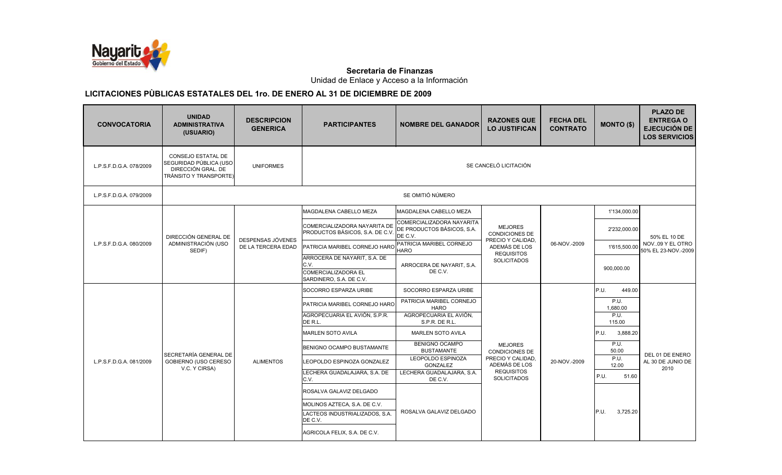

Unidad de Enlace y Acceso a la Información

| <b>CONVOCATORIA</b>     | <b>UNIDAD</b><br><b>ADMINISTRATIVA</b><br>(USUARIO)                                          | <b>DESCRIPCION</b><br><b>GENERICA</b>                                     | <b>PARTICIPANTES</b>                                            | <b>NOMBRE DEL GANADOR</b>                                          | <b>RAZONES QUE</b><br><b>LO JUSTIFICAN</b> | <b>FECHA DEL</b><br><b>CONTRATO</b> | <b>MONTO (\$)</b> | <b>PLAZO DE</b><br><b>ENTREGA O</b><br><b>EJECUCIÓN DE</b><br><b>LOS SERVICIOS</b> |  |  |
|-------------------------|----------------------------------------------------------------------------------------------|---------------------------------------------------------------------------|-----------------------------------------------------------------|--------------------------------------------------------------------|--------------------------------------------|-------------------------------------|-------------------|------------------------------------------------------------------------------------|--|--|
| L.P.S.F.D.G.A. 078/2009 | CONSEJO ESTATAL DE<br>SEGURIDAD PÚBLICA (USO<br>DIRECCIÓN GRAL. DE<br>TRÁNSITO Y TRANSPORTE) | <b>UNIFORMES</b>                                                          |                                                                 | SE CANCELÓ LICITACIÓN                                              |                                            |                                     |                   |                                                                                    |  |  |
| L.P.S.F.D.G.A. 079/2009 |                                                                                              |                                                                           |                                                                 | SE OMITIÓ NÚMERO                                                   |                                            |                                     |                   |                                                                                    |  |  |
|                         |                                                                                              |                                                                           | MAGDALENA CABELLO MEZA                                          | MAGDALENA CABELLO MEZA                                             |                                            |                                     | 1'134,000.00      |                                                                                    |  |  |
| L.P.S.F.D.G.A. 080/2009 | DIRECCIÓN GENERAL DE                                                                         |                                                                           | COMERCIALIZADORA NAYARITA DE<br>PRODUCTOS BÁSICOS, S.A. DE C.V. | COMERCIALIZADORA NAYARITA<br>DE PRODUCTOS BÁSICOS, S.A.<br>DE C.V. | <b>MEJORES</b><br><b>CONDICIONES DE</b>    |                                     | 2'232,000.00      | 50% EL 10 DE                                                                       |  |  |
|                         | ADMINISTRACIÓN (USO<br>SEDIF)                                                                | DESPENSAS JÓVENES<br>DE LA TERCERA EDAD                                   | PATRICIA MARIBEL CORNEJO HARO                                   | PATRICIA MARIBEL CORNEJO<br><b>HARO</b>                            | PRECIO Y CALIDAD,<br>ADEMÁS DE LOS         | 06-NOV.-2009                        | 1'615,500.00      | NOV09 Y EL OTRO<br>50% EL 23-NOV.-2009                                             |  |  |
|                         |                                                                                              |                                                                           | ARROCERA DE NAYARIT, S.A. DE<br>C.V.<br>COMERCIALIZADORA EL     | ARROCERA DE NAYARIT, S.A.<br>DE C.V.                               | <b>REQUISITOS</b><br><b>SOLICITADOS</b>    |                                     | 900,000.00        |                                                                                    |  |  |
|                         |                                                                                              |                                                                           | SARDINERO, S.A. DE C.V.                                         |                                                                    |                                            |                                     |                   |                                                                                    |  |  |
|                         |                                                                                              |                                                                           | SOCORRO ESPARZA URIBE                                           | SOCORRO ESPARZA URIBE                                              |                                            |                                     | P.U.<br>449.00    |                                                                                    |  |  |
|                         |                                                                                              |                                                                           | PATRICIA MARIBEL CORNEJO HARO                                   | PATRICIA MARIBEL CORNEJO<br><b>HARO</b>                            |                                            |                                     | P.U.<br>1,680.00  |                                                                                    |  |  |
|                         |                                                                                              |                                                                           | AGROPECUARIA EL AVIÓN, S.P.R.<br>DE R.L.                        | AGROPECUARIA EL AVIÓN,<br>S.P.R. DE R.L.                           |                                            |                                     | P.U.<br>115.00    |                                                                                    |  |  |
|                         |                                                                                              |                                                                           | <b>MARLEN SOTO AVILA</b>                                        | <b>MARLEN SOTO AVILA</b>                                           |                                            |                                     | P.U.<br>3,888.20  |                                                                                    |  |  |
|                         | SECRETARÍA GENERAL DE                                                                        |                                                                           | BENIGNO OCAMPO BUSTAMANTE                                       | <b>BENIGNO OCAMPO</b><br><b>BUSTAMANTE</b>                         | <b>MEJORES</b><br><b>CONDICIONES DE</b>    |                                     | P.U.<br>50.00     | DEL 01 DE ENERO                                                                    |  |  |
| L.P.S.F.D.G.A. 081/2009 | GOBIERNO (USO CERESO<br>V.C. Y CIRSA)                                                        | <b>ALIMENTOS</b>                                                          | LEOPOLDO ESPINOZA GONZALEZ                                      | LEOPOLDO ESPINOZA<br><b>GONZALEZ</b>                               | PRECIO Y CALIDAD.<br>ADEMÁS DE LOS         | 20-NOV.-2009                        | P.U.<br>12.00     | AL 30 DE JUNIO DE<br>2010                                                          |  |  |
|                         |                                                                                              |                                                                           | LECHERA GUADALAJARA, S.A. DE<br>C.V.                            | LECHERA GUADALAJARA, S.A.<br>DE C.V.                               | <b>REQUISITOS</b><br><b>SOLICITADOS</b>    |                                     | P.U.<br>51.60     |                                                                                    |  |  |
|                         |                                                                                              |                                                                           | ROSALVA GALAVIZ DELGADO                                         |                                                                    |                                            |                                     |                   |                                                                                    |  |  |
|                         |                                                                                              | MOLINOS AZTECA, S.A. DE C.V.<br>LACTEOS INDUSTRIALIZADOS, S.A.<br>DE C.V. | ROSALVA GALAVIZ DELGADO                                         |                                                                    |                                            | P.U.<br>3,725.20                    |                   |                                                                                    |  |  |
|                         |                                                                                              |                                                                           | AGRICOLA FELIX, S.A. DE C.V.                                    |                                                                    |                                            |                                     |                   |                                                                                    |  |  |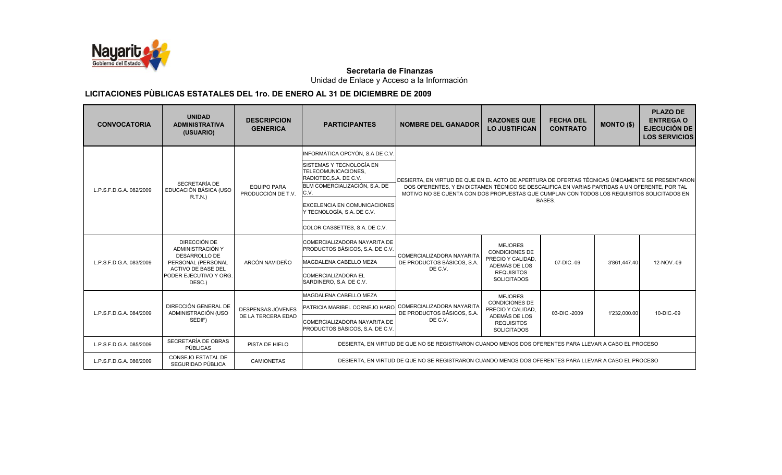

Unidad de Enlace y Acceso a la Información

| <b>CONVOCATORIA</b>     | <b>UNIDAD</b><br><b>ADMINISTRATIVA</b><br>(USUARIO)                                                                                             | <b>DESCRIPCION</b><br><b>GENERICA</b>    | <b>PARTICIPANTES</b>                                                                                                                                                                                                                                       | <b>NOMBRE DEL GANADOR</b>                                                                                                                                                                                                                                                                      | <b>RAZONES QUE</b><br><b>LO JUSTIFICAN</b>                                                                               | <b>FECHA DEL</b><br><b>CONTRATO</b> | <b>MONTO (\$)</b> | <b>PLAZO DE</b><br><b>ENTREGA O</b><br><b>EJECUCIÓN DE</b><br><b>LOS SERVICIOS</b> |
|-------------------------|-------------------------------------------------------------------------------------------------------------------------------------------------|------------------------------------------|------------------------------------------------------------------------------------------------------------------------------------------------------------------------------------------------------------------------------------------------------------|------------------------------------------------------------------------------------------------------------------------------------------------------------------------------------------------------------------------------------------------------------------------------------------------|--------------------------------------------------------------------------------------------------------------------------|-------------------------------------|-------------------|------------------------------------------------------------------------------------|
| L.P.S.F.D.G.A. 082/2009 | SECRETARÍA DE<br>EDUCACIÓN BÁSICA (USO<br>R.T.N.)                                                                                               | <b>EQUIPO PARA</b><br>PRODUCCIÓN DE T.V. | INFORMÁTICA OPCYÓN, S.A DE C.V.<br>SISTEMAS Y TECNOLOGÍA EN<br>TELECOMUNICACIONES,<br>RADIOTEC.S.A. DE C.V.<br>BLM COMERCIALIZACIÓN, S.A. DE<br>C.V.<br><b>EXCELENCIA EN COMUNICACIONES</b><br>Y TECNOLOGÍA, S.A. DE C.V.<br>COLOR CASSETTES, S.A. DE C.V. | DESIERTA. EN VIRTUD DE QUE EN EL ACTO DE APERTURA DE OFERTAS TÉCNICAS ÚNICAMENTE SE PRESENTARON<br>DOS OFERENTES. Y EN DICTAMEN TÉCNICO SE DESCALIFICA EN VARIAS PARTIDAS A UN OFERENTE. POR TAL<br>MOTIVO NO SE CUENTA CON DOS PROPUESTAS QUE CUMPLAN CON TODOS LOS REQUISITOS SOLICITADOS EN |                                                                                                                          | BASES.                              |                   |                                                                                    |
| L.P.S.F.D.G.A. 083/2009 | DIRECCIÓN DE<br>ADMINISTRACIÓN Y<br><b>DESARROLLO DE</b><br>PERSONAL (PERSONAL<br><b>ACTIVO DE BASE DEL</b><br>PODER EJECUTIVO Y ORG.<br>DESC.) | ARCÓN NAVIDEÑO                           | COMERCIALIZADORA NAYARITA DE<br>PRODUCTOS BÁSICOS, S.A. DE C.V.<br>MAGDALENA CABELLO MEZA<br><b>COMERCIALIZADORA EL</b><br>SARDINERO, S.A. DE C.V.                                                                                                         | COMERCIALIZADORA NAYARITA<br>DE PRODUCTOS BÁSICOS, S.A.<br>DE C.V.                                                                                                                                                                                                                             | <b>MEJORES</b><br><b>CONDICIONES DE</b><br>PRECIO Y CALIDAD.<br>ADEMÁS DE LOS<br><b>REQUISITOS</b><br><b>SOLICITADOS</b> | 07-DIC.-09                          | 3'861.447.40      | 12-NOV.-09                                                                         |
| L.P.S.F.D.G.A. 084/2009 | DIRECCIÓN GENERAL DE<br>ADMINISTRACIÓN (USO<br>SEDIF)                                                                                           | DESPENSAS JÓVENES<br>DE LA TERCERA EDAD  | MAGDALENA CABELLO MEZA<br>PATRICIA MARIBEL CORNEJO HARO<br>COMERCIALIZADORA NAYARITA DE<br>PRODUCTOS BÁSICOS, S.A. DE C.V.                                                                                                                                 | COMERCIALIZADORA NAYARITA<br>DE PRODUCTOS BÁSICOS, S.A.<br>DE C.V.                                                                                                                                                                                                                             | <b>MEJORES</b><br><b>CONDICIONES DE</b><br>PRECIO Y CALIDAD,<br>ADEMÁS DE LOS<br><b>REQUISITOS</b><br><b>SOLICITADOS</b> | 03-DIC.-2009                        | 1'232.000.00      | 10-DIC.-09                                                                         |
| L.P.S.F.D.G.A. 085/2009 | SECRETARÍA DE OBRAS<br>PÚBLICAS                                                                                                                 | PISTA DE HIELO                           |                                                                                                                                                                                                                                                            | DESIERTA. EN VIRTUD DE QUE NO SE REGISTRARON CUANDO MENOS DOS OFERENTES PARA LLEVAR A CABO EL PROCESO                                                                                                                                                                                          |                                                                                                                          |                                     |                   |                                                                                    |
| L.P.S.F.D.G.A. 086/2009 | CONSEJO ESTATAL DE<br>SEGURIDAD PÚBLICA                                                                                                         | <b>CAMIONETAS</b>                        |                                                                                                                                                                                                                                                            | DESIERTA. EN VIRTUD DE QUE NO SE REGISTRARON CUANDO MENOS DOS OFERENTES PARA LLEVAR A CABO EL PROCESO                                                                                                                                                                                          |                                                                                                                          |                                     |                   |                                                                                    |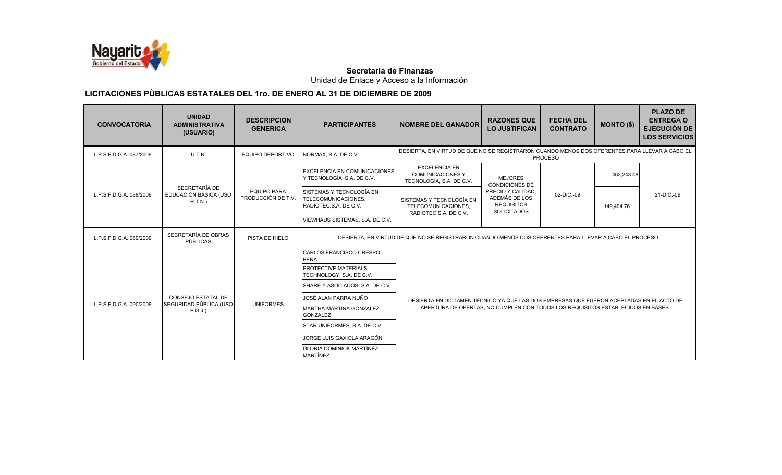

Unidad de Enlace y Acceso a la Información

| <b>CONVOCATORIA</b>                                 | <b>UNIDAD</b><br><b>ADMINISTRATIVA</b><br>(USUARIO) | <b>DESCRIPCION</b><br><b>GENERICA</b>    | <b>PARTICIPANTES</b>                                                      | <b>NOMBRE DEL GANADOR</b>                                                                                       | <b>RAZONES QUE</b><br><b>LO JUSTIFICAN</b>                                                  | <b>FECHA DEL</b><br><b>CONTRATO</b> | <b>MONTO (\$)</b> | <b>PLAZO DE</b><br><b>ENTREGA O</b><br><b>EJECUCIÓN DE</b><br><b>LOS SERVICIOS</b> |            |            |
|-----------------------------------------------------|-----------------------------------------------------|------------------------------------------|---------------------------------------------------------------------------|-----------------------------------------------------------------------------------------------------------------|---------------------------------------------------------------------------------------------|-------------------------------------|-------------------|------------------------------------------------------------------------------------|------------|------------|
| L.P.S.F.D.G.A. 087/2009                             | U.T.N.                                              | <b>EQUIPO DEPORTIVO</b>                  | NORMAX, S.A. DE C.V.                                                      | DESIERTA, EN VIRTUD DE QUE NO SE REGISTRARON CUANDO MENOS DOS OFERENTES PARA LLEVAR A CABO EL<br><b>PROCESO</b> |                                                                                             |                                     |                   |                                                                                    |            |            |
|                                                     |                                                     |                                          | EXCELENCIA EN COMUNICACIONES<br>Y TECNOLOGÍA, S.A. DE C.V.                | <b>EXCELENCIA EN</b><br><b>COMUNICACIONES Y</b><br>TECNOLOGÍA, S.A. DE C.V.                                     | <b>MEJORES</b><br><b>CONDICIONES DE</b>                                                     |                                     | 463,243.48        |                                                                                    |            |            |
| SECRETARÍA DE<br>L.P.S.F.D.G.A. 088/2009<br>R.T.N.) | EDUCACIÓN BÁSICA (USO                               | <b>EQUIPO PARA</b><br>PRODUCCIÓN DE T.V. | SISTEMAS Y TECNOLOGÍA EN<br>TELECOMUNICACIONES.<br>RADIOTEC, S.A. DE C.V. | SISTEMAS Y TECNOLOGÍA EN<br>TELECOMUNICACIONES,                                                                 | PRECIO Y CALIDAD,<br>02-DIC.-09<br>ADEMÁS DE LOS<br><b>REQUISITOS</b><br><b>SOLICITADOS</b> |                                     |                   |                                                                                    | 149,404.76 | 21-DIC.-09 |
|                                                     |                                                     |                                          | VIEWHAUS SISTEMAS, S.A. DE C.V.                                           | RADIOTEC, S.A. DE C.V.                                                                                          |                                                                                             |                                     |                   |                                                                                    |            |            |
| L.P.S.F.D.G.A. 089/2009                             | SECRETARÍA DE OBRAS<br>PÚBLICAS                     | PISTA DE HIELO                           |                                                                           | DESIERTA, EN VIRTUD DE QUE NO SE REGISTRARON CUANDO MENOS DOS OFERENTES PARA LLEVAR A CABO EL PROCESO           |                                                                                             |                                     |                   |                                                                                    |            |            |
|                                                     |                                                     |                                          | CARLOS FRANCISCO CRESPO<br>PEÑA                                           |                                                                                                                 |                                                                                             |                                     |                   |                                                                                    |            |            |
|                                                     |                                                     |                                          | PROTECTIVE MATERIALS<br>TECHNOLOGY, S.A. DE C.V.                          |                                                                                                                 |                                                                                             |                                     |                   |                                                                                    |            |            |
|                                                     |                                                     |                                          | SHARE Y ASOCIADOS, S.A. DE C.V.                                           |                                                                                                                 |                                                                                             |                                     |                   |                                                                                    |            |            |
| L.P.S.F.D.G.A. 090/2009                             | <b>CONSEJO ESTATAL DE</b><br>SEGURIDAD PÚBLICA (USO | <b>UNIFORMES</b>                         | JOSÉ ALAN PARRA NUÑO                                                      | DESIERTA EN DICTAMEN TÉCNICO YA QUE LAS DOS EMPRESAS QUE FUERON ACEPTADAS EN EL ACTO DE                         |                                                                                             |                                     |                   |                                                                                    |            |            |
|                                                     | P.G.J.)                                             |                                          | MARTHA MARTINA GONZALEZ<br><b>GONZALEZ</b>                                | APERTURA DE OFERTAS, NO CUMPLEN CON TODOS LOS REQUISITOS ESTABLECIDOS EN BASES.                                 |                                                                                             |                                     |                   |                                                                                    |            |            |
|                                                     |                                                     |                                          | STAR UNIFORMES, S.A. DE C.V.                                              |                                                                                                                 |                                                                                             |                                     |                   |                                                                                    |            |            |
|                                                     |                                                     |                                          | JORGE LUIS GAXIOLA ARAGÓN                                                 |                                                                                                                 |                                                                                             |                                     |                   |                                                                                    |            |            |
|                                                     |                                                     |                                          | <b>GLORIA DOMINICK MARTÍNEZ</b><br><b>MARTÍNEZ</b>                        |                                                                                                                 |                                                                                             |                                     |                   |                                                                                    |            |            |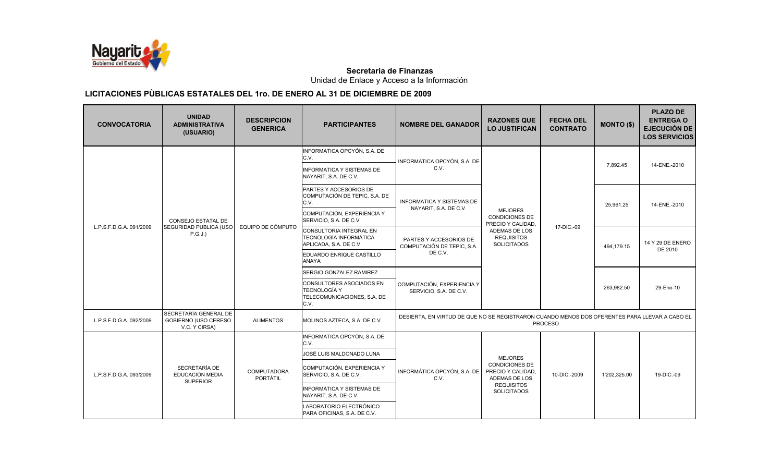

Unidad de Enlace y Acceso a la Información

| <b>CONVOCATORIA</b>     | <b>UNIDAD</b><br><b>ADMINISTRATIVA</b><br>(USUARIO)            | <b>DESCRIPCION</b><br><b>GENERICA</b> | <b>PARTICIPANTES</b>                                                                      | <b>NOMBRE DEL GANADOR</b>                                                                                       | <b>RAZONES QUE</b><br><b>LO JUSTIFICAN</b>                                                                               | <b>FECHA DEL</b><br><b>CONTRATO</b> | <b>MONTO (\$)</b> | <b>PLAZO DE</b><br><b>ENTREGA O</b><br><b>EJECUCIÓN DE</b><br><b>LOS SERVICIOS</b> |
|-------------------------|----------------------------------------------------------------|---------------------------------------|-------------------------------------------------------------------------------------------|-----------------------------------------------------------------------------------------------------------------|--------------------------------------------------------------------------------------------------------------------------|-------------------------------------|-------------------|------------------------------------------------------------------------------------|
|                         | <b>CONSEJO ESTATAL DE</b><br>SEGURIDAD PUBLICA (USO<br>P.G.J.) | EQUIPO DE CÓMPUTO                     | INFORMATICA OPCYÓN, S.A. DE<br>C.V.                                                       | INFORMATICA OPCYÓN, S.A. DE<br>C.V.                                                                             | <b>MEJORES</b><br><b>CONDICIONES DE</b><br>PRECIO Y CALIDAD.<br>ADEMAS DE LOS<br><b>REQUISITOS</b><br><b>SOLICITADOS</b> | 17-DIC.-09                          | 7,892.45          | 14-ENE.-2010                                                                       |
| L.P.S.F.D.G.A. 091/2009 |                                                                |                                       | <b>INFORMATICA Y SISTEMAS DE</b><br>NAYARIT, S.A. DE C.V.                                 |                                                                                                                 |                                                                                                                          |                                     |                   |                                                                                    |
|                         |                                                                |                                       | PARTES Y ACCESORIOS DE<br>COMPUTACIÓN DE TEPIC, S.A. DE<br>C.V.                           | <b>INFORMATICA Y SISTEMAS DE</b><br>NAYARIT, S.A. DE C.V.                                                       |                                                                                                                          |                                     | 25,961.25         | 14-ENE.-2010                                                                       |
|                         |                                                                |                                       | COMPUTACIÓN, EXPERIENCIA Y<br>SERVICIO, S.A. DE C.V.                                      |                                                                                                                 |                                                                                                                          |                                     |                   |                                                                                    |
|                         |                                                                |                                       | <b>CONSULTORIA INTEGRAL EN</b><br><b>TECNOLOGÍA INFORMÁTICA</b><br>APLICADA, S.A. DE C.V. | PARTES Y ACCESORIOS DE<br>COMPUTACIÓN DE TEPIC. S.A.<br>DE C.V.                                                 |                                                                                                                          |                                     | 494.179.15        | 14 Y 29 DE ENERO<br>DE 2010                                                        |
|                         |                                                                |                                       | EDUARDO ENRIQUE CASTILLO<br>ANAYA                                                         |                                                                                                                 |                                                                                                                          |                                     |                   |                                                                                    |
|                         |                                                                |                                       | SERGIO GONZALEZ RAMIREZ                                                                   |                                                                                                                 |                                                                                                                          |                                     |                   |                                                                                    |
|                         |                                                                |                                       | CONSULTORES ASOCIADOS EN<br><b>TECNOLOGÍA Y</b><br>TELECOMUNICACIONES, S.A. DE<br>C.V.    | COMPUTACIÓN, EXPERIENCIA Y<br>SERVICIO, S.A. DE C.V.                                                            |                                                                                                                          |                                     | 263,982.50        | 29-Ene-10                                                                          |
| L.P.S.F.D.G.A. 092/2009 | SECRETARÍA GENERAL DE<br>GOBIERNO (USO CERESO<br>V.C. Y CIRSA) | <b>ALIMENTOS</b>                      | MOLINOS AZTECA, S.A. DE C.V.                                                              | DESIERTA, EN VIRTUD DE QUE NO SE REGISTRARON CUANDO MENOS DOS OFERENTES PARA LLEVAR A CABO EL<br><b>PROCESO</b> |                                                                                                                          |                                     |                   |                                                                                    |
|                         | SECRETARÍA DE<br>EDUCACIÓN MEDIA<br><b>SUPERIOR</b>            | <b>COMPUTADORA</b><br>PORTÁTIL        | INFORMÁTICA OPCYÓN, S.A. DE<br>C.V.                                                       | INFORMÁTICA OPCYÓN, S.A. DE<br>C.V.                                                                             | <b>MEJORES</b><br><b>CONDICIONES DE</b><br>PRECIO Y CALIDAD,<br>ADEMAS DE LOS<br><b>REQUISITOS</b><br><b>SOLICITADOS</b> | 10-DIC.-2009                        | 1'202,325.00      | 19-DIC.-09                                                                         |
| L.P.S.F.D.G.A. 093/2009 |                                                                |                                       | JOSÉ LUIS MALDONADO LUNA                                                                  |                                                                                                                 |                                                                                                                          |                                     |                   |                                                                                    |
|                         |                                                                |                                       | COMPUTACIÓN, EXPERIENCIA Y<br>SERVICIO, S.A. DE C.V.                                      |                                                                                                                 |                                                                                                                          |                                     |                   |                                                                                    |
|                         |                                                                |                                       | <b>INFORMÁTICA Y SISTEMAS DE</b><br>NAYARIT, S.A. DE C.V.                                 |                                                                                                                 |                                                                                                                          |                                     |                   |                                                                                    |
|                         |                                                                |                                       | LABORATORIO ELECTRÓNICO<br>PARA OFICINAS, S.A. DE C.V.                                    |                                                                                                                 |                                                                                                                          |                                     |                   |                                                                                    |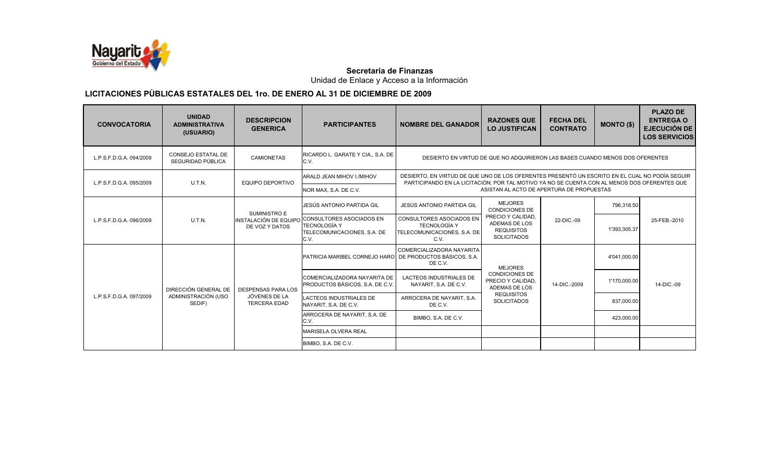

Unidad de Enlace y Acceso a la Información

| <b>CONVOCATORIA</b>     | <b>UNIDAD</b><br><b>ADMINISTRATIVA</b><br>(USUARIO)   | <b>DESCRIPCION</b><br><b>GENERICA</b>                             | <b>PARTICIPANTES</b>                                                                                         | <b>NOMBRE DEL GANADOR</b>                                                                                                                                                                      | <b>RAZONES QUE</b><br><b>LO JUSTIFICAN</b>                                                                               | <b>FECHA DEL</b><br><b>CONTRATO</b> | <b>MONTO (\$)</b> | <b>PLAZO DE</b><br><b>ENTREGA O</b><br>EJECUCIÓN DE<br><b>LOS SERVICIOS</b> |  |
|-------------------------|-------------------------------------------------------|-------------------------------------------------------------------|--------------------------------------------------------------------------------------------------------------|------------------------------------------------------------------------------------------------------------------------------------------------------------------------------------------------|--------------------------------------------------------------------------------------------------------------------------|-------------------------------------|-------------------|-----------------------------------------------------------------------------|--|
| L.P.S.F.D.G.A. 094/2009 | CONSEJO ESTATAL DE<br>SEGURIDAD PÚBLICA               | <b>CAMIONETAS</b>                                                 | RICARDO L. GARATE Y CIA., S.A. DE<br>C.V.                                                                    | DESIERTO EN VIRTUD DE QUE NO ADQUIRIERON LAS BASES CUANDO MENOS DOS OFERENTES                                                                                                                  |                                                                                                                          |                                     |                   |                                                                             |  |
| L.P.S.F.D.G.A. 095/2009 | U.T.N.                                                | EQUIPO DEPORTIVO                                                  | ARALD JEAN MIHOV I./MIHOV                                                                                    | DESIERTO, EN VIRTUD DE QUE UNO DE LOS OFERENTES PRESENTÓ UN ESCRITO EN EL CUAL NO PODÍA SEGUIR<br>PARTICIPANDO EN LA LICITACIÓN: POR TAL MOTIVO YA NO SE CUENTA CON AL MENOS DOS OFERENTES QUE |                                                                                                                          |                                     |                   |                                                                             |  |
|                         |                                                       |                                                                   | NOR MAX, S.A. DE C.V.                                                                                        | ASISTAN AL ACTO DE APERTURA DE PROPUESTAS                                                                                                                                                      |                                                                                                                          |                                     |                   |                                                                             |  |
| L.P.S.F.D.G.A. 096/2009 | U.T.N.                                                | SUMINISTRO E<br>DE VOZ Y DATOS                                    | JESÚS ANTONIO PARTIDA GIL                                                                                    | JESÚS ANTONIO PARTIDA GIL                                                                                                                                                                      | <b>MEJORES</b><br><b>CONDICIONES DE</b>                                                                                  |                                     | 796.318.50        | 25-FEB.-2010                                                                |  |
|                         |                                                       |                                                                   | INSTALACIÓN DE EQUIPO CONSULTORES ASOCIADOS EN<br><b>TECNOLOGÍA Y</b><br>TELECOMUNICACIONES, S.A. DE<br>C.V. | CONSULTORES ASOCIADOS EN<br><b>TECNOLOGÍA Y</b><br>TELECOMUNICACIONES, S.A. DE<br>C.V.                                                                                                         | PRECIO Y CALIDAD.<br>ADEMAS DE LOS<br><b>REQUISITOS</b><br><b>SOLICITADOS</b>                                            | 22-DIC.-09                          | 1'393,305.37      |                                                                             |  |
| L.P.S.F.D.G.A. 097/2009 | DIRECCIÓN GENERAL DE<br>ADMINISTRACIÓN (USO<br>SEDIF) | <b>DESPENSAS PARA LOS</b><br>JÓVENES DE LA<br><b>TERCERA EDAD</b> | PATRICIA MARIBEL CORNEJO HARO DE PRODUCTOS BÁSICOS, S.A.                                                     | COMERCIALIZADORA NAYARITA<br>DE C.V.                                                                                                                                                           | <b>MEJORES</b><br><b>CONDICIONES DE</b><br>PRECIO Y CALIDAD,<br>ADEMAS DE LOS<br><b>REQUISITOS</b><br><b>SOLICITADOS</b> | 14-DIC.-2009                        | 4'041,000.00      | 14-DIC.-09                                                                  |  |
|                         |                                                       |                                                                   | COMERCIALIZADORA NAYARITA DE<br>PRODUCTOS BÁSICOS, S.A. DE C.V.                                              | LACTEOS INDUSTRIALES DE<br>NAYARIT, S.A. DE C.V.                                                                                                                                               |                                                                                                                          |                                     | 1'170,000.00      |                                                                             |  |
|                         |                                                       |                                                                   | LACTEOS INDUSTRIALES DE<br>NAYARIT, S.A. DE C.V.                                                             | ARROCERA DE NAYARIT, S.A.<br>DE C.V.                                                                                                                                                           |                                                                                                                          |                                     | 837,000.00        |                                                                             |  |
|                         |                                                       |                                                                   | ARROCERA DE NAYARIT, S.A. DE<br>C.V.                                                                         | BIMBO, S.A. DE C.V.                                                                                                                                                                            |                                                                                                                          |                                     | 423,000.00        |                                                                             |  |
|                         |                                                       |                                                                   | <b>MARISELA OLVERA REAL</b>                                                                                  |                                                                                                                                                                                                |                                                                                                                          |                                     |                   |                                                                             |  |
|                         |                                                       |                                                                   | BIMBO, S.A. DE C.V.                                                                                          |                                                                                                                                                                                                |                                                                                                                          |                                     |                   |                                                                             |  |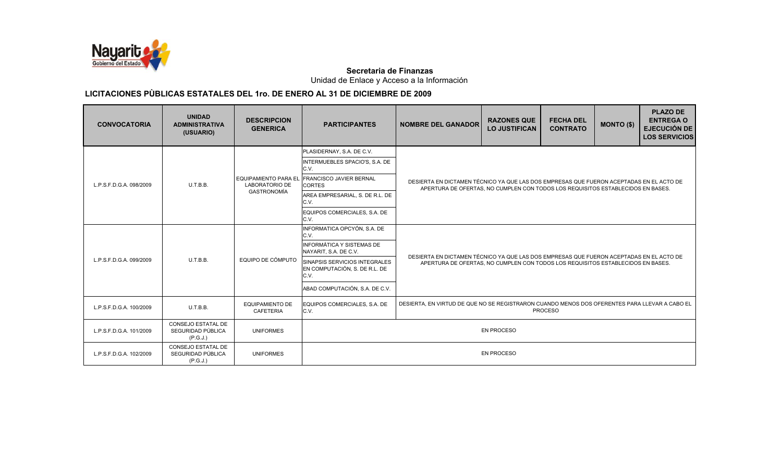

Unidad de Enlace y Acceso a la Información

| <b>CONVOCATORIA</b>     | <b>UNIDAD</b><br><b>ADMINISTRATIVA</b><br>(USUARIO)        | <b>DESCRIPCION</b><br><b>GENERICA</b>                                      | <b>PARTICIPANTES</b>                                                   | <b>NOMBRE DEL GANADOR</b>                                                                                                                                                  | <b>RAZONES QUE</b><br><b>LO JUSTIFICAN</b> | <b>FECHA DEL</b><br><b>CONTRATO</b> | <b>MONTO (\$)</b> | <b>PLAZO DE</b><br><b>ENTREGA O</b><br><b>EJECUCIÓN DE</b><br><b>LOS SERVICIOS</b> |  |
|-------------------------|------------------------------------------------------------|----------------------------------------------------------------------------|------------------------------------------------------------------------|----------------------------------------------------------------------------------------------------------------------------------------------------------------------------|--------------------------------------------|-------------------------------------|-------------------|------------------------------------------------------------------------------------|--|
| L.P.S.F.D.G.A. 098/2009 | U.T.B.B.                                                   | <b>EQUIPAMIENTO PARA EL</b><br><b>LABORATORIO DE</b><br><b>GASTRONOMÍA</b> | PLASIDERNAY, S.A. DE C.V.                                              | DESIERTA EN DICTAMEN TÉCNICO YA QUE LAS DOS EMPRESAS QUE FUERON ACEPTADAS EN EL ACTO DE<br>APERTURA DE OFERTAS. NO CUMPLEN CON TODOS LOS REQUISITOS ESTABLECIDOS EN BASES. |                                            |                                     |                   |                                                                                    |  |
|                         |                                                            |                                                                            | INTERMUEBLES SPACIO'S, S.A. DE<br>C.V.                                 |                                                                                                                                                                            |                                            |                                     |                   |                                                                                    |  |
|                         |                                                            |                                                                            | <b>FRANCISCO JAVIER BERNAL</b><br><b>CORTES</b>                        |                                                                                                                                                                            |                                            |                                     |                   |                                                                                    |  |
|                         |                                                            |                                                                            | AREA EMPRESARIAL, S. DE R.L. DE<br>C.V.                                |                                                                                                                                                                            |                                            |                                     |                   |                                                                                    |  |
|                         |                                                            |                                                                            | EQUIPOS COMERCIALES, S.A. DE<br>C.V.                                   |                                                                                                                                                                            |                                            |                                     |                   |                                                                                    |  |
| L.P.S.F.D.G.A. 099/2009 | U.T.B.B.                                                   | EQUIPO DE CÓMPUTO                                                          | INFORMATICA OPCYÓN, S.A. DE<br>C.V.                                    |                                                                                                                                                                            |                                            |                                     |                   |                                                                                    |  |
|                         |                                                            |                                                                            | INFORMÁTICA Y SISTEMAS DE<br>NAYARIT, S.A. DE C.V.                     | DESIERTA EN DICTAMEN TÉCNICO YA QUE LAS DOS EMPRESAS QUE FUERON ACEPTADAS EN EL ACTO DE                                                                                    |                                            |                                     |                   |                                                                                    |  |
|                         |                                                            |                                                                            | SINAPSIS SERVICIOS INTEGRALES<br>EN COMPUTACIÓN, S. DE R.L. DE<br>C.V. | APERTURA DE OFERTAS, NO CUMPLEN CON TODOS LOS REQUISITOS ESTABLECIDOS EN BASES.                                                                                            |                                            |                                     |                   |                                                                                    |  |
|                         |                                                            |                                                                            | ABAD COMPUTACIÓN, S.A. DE C.V.                                         |                                                                                                                                                                            |                                            |                                     |                   |                                                                                    |  |
| L.P.S.F.D.G.A. 100/2009 | U.T.B.B.                                                   | <b>EQUIPAMIENTO DE</b><br><b>CAFETERIA</b>                                 | EQUIPOS COMERCIALES, S.A. DE<br>C.V.                                   | DESIERTA, EN VIRTUD DE QUE NO SE REGISTRARON CUANDO MENOS DOS OFERENTES PARA LLEVAR A CABO EL<br><b>PROCESO</b>                                                            |                                            |                                     |                   |                                                                                    |  |
| L.P.S.F.D.G.A. 101/2009 | <b>CONSEJO ESTATAL DE</b><br>SEGURIDAD PÚBLICA<br>(P.G.J.) | <b>UNIFORMES</b>                                                           | <b>EN PROCESO</b>                                                      |                                                                                                                                                                            |                                            |                                     |                   |                                                                                    |  |
| L.P.S.F.D.G.A. 102/2009 | <b>CONSEJO ESTATAL DE</b><br>SEGURIDAD PÚBLICA<br>(P.G.J.) | <b>UNIFORMES</b>                                                           | <b>EN PROCESO</b>                                                      |                                                                                                                                                                            |                                            |                                     |                   |                                                                                    |  |